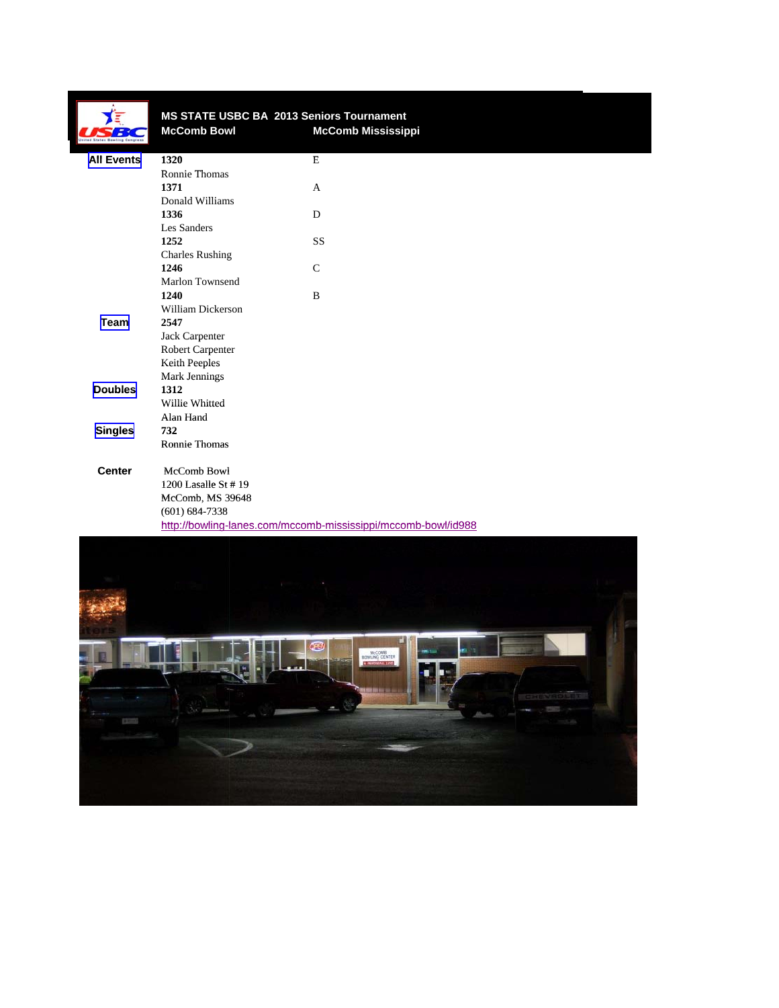|                   |                          | MS STATE USBC BA 2013 Seniors Tournament                      |  |
|-------------------|--------------------------|---------------------------------------------------------------|--|
|                   | <b>McComb Bowl</b>       | <b>McComb Mississippi</b>                                     |  |
| <b>All Events</b> | 1320                     | $\mathbf E$                                                   |  |
|                   | Ronnie Thomas            |                                                               |  |
|                   | 1371                     | $\mathbf{A}$                                                  |  |
|                   | Donald Williams          |                                                               |  |
|                   | 1336                     | D                                                             |  |
|                   | Les Sanders              |                                                               |  |
|                   | 1252                     | <b>SS</b>                                                     |  |
|                   | <b>Charles Rushing</b>   |                                                               |  |
|                   | 1246                     | $\mathcal{C}$                                                 |  |
|                   | Marlon Townsend          |                                                               |  |
|                   | 1240                     | B                                                             |  |
|                   | <b>William Dickerson</b> |                                                               |  |
| Team              | 2547                     |                                                               |  |
|                   | Jack Carpenter           |                                                               |  |
|                   | Robert Carpenter         |                                                               |  |
|                   | Keith Peeples            |                                                               |  |
|                   | Mark Jennings            |                                                               |  |
| <b>Doubles</b>    | 1312                     |                                                               |  |
|                   | Willie Whitted           |                                                               |  |
|                   | Alan Hand                |                                                               |  |
| <b>Singles</b>    | 732                      |                                                               |  |
|                   | <b>Ronnie Thomas</b>     |                                                               |  |
| <b>Center</b>     | McComb Bowl              |                                                               |  |
|                   | 1200 Lasalle St #19      |                                                               |  |
|                   | McComb, MS 39648         |                                                               |  |
|                   | $(601) 684 - 7338$       |                                                               |  |
|                   |                          | http://bowling-lanes.com/mccomb-mississippi/mccomb-bowl/id988 |  |
|                   |                          |                                                               |  |
|                   |                          |                                                               |  |
|                   |                          |                                                               |  |
|                   |                          |                                                               |  |
|                   |                          |                                                               |  |

MCCORE

Q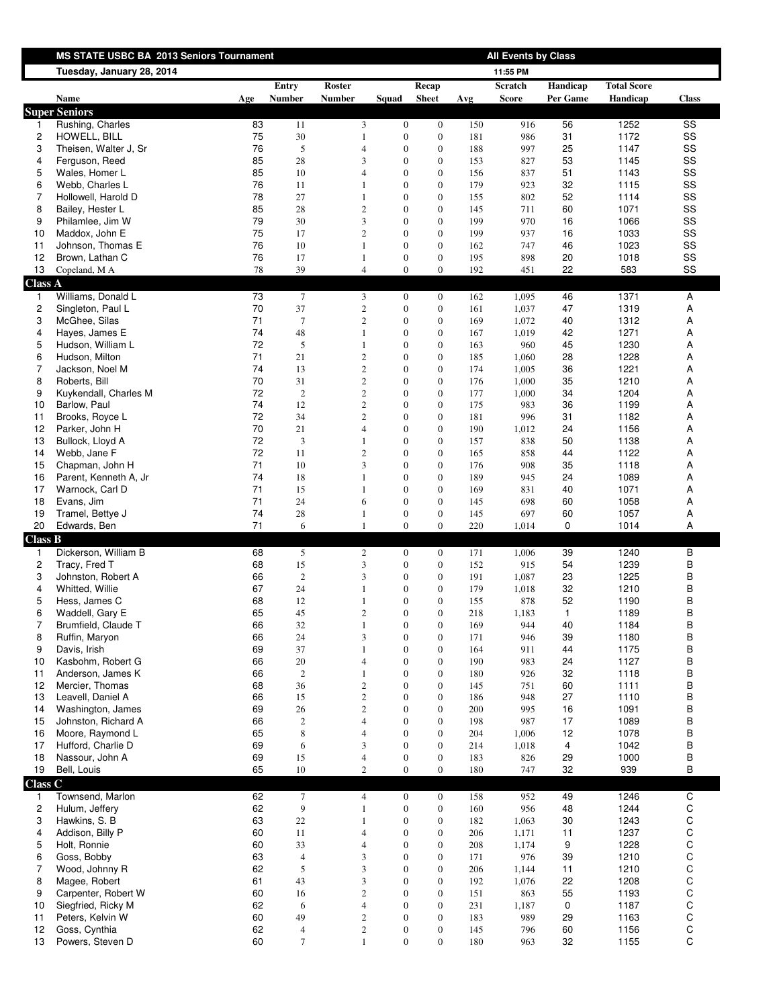|                         | MS STATE USBC BA 2013 Seniors Tournament |          |                        |                                  |                                      |                                      |            | <b>All Events by Class</b> |                      |                                |                            |
|-------------------------|------------------------------------------|----------|------------------------|----------------------------------|--------------------------------------|--------------------------------------|------------|----------------------------|----------------------|--------------------------------|----------------------------|
|                         | Tuesday, January 28, 2014                |          |                        |                                  |                                      |                                      |            | 11:55 PM                   |                      |                                |                            |
|                         | Name                                     | Age      | Entry<br><b>Number</b> | Roster<br><b>Number</b>          | Squad                                | Recap<br><b>Sheet</b>                | Avg        | Scratch<br><b>Score</b>    | Handicap<br>Per Game | <b>Total Score</b><br>Handicap | <b>Class</b>               |
|                         | <b>Super Seniors</b>                     |          |                        |                                  |                                      |                                      |            |                            |                      |                                |                            |
| 1                       | Rushing, Charles                         | 83       | 11                     | 3                                | $\boldsymbol{0}$                     | $\mathbf{0}$                         | 150        | 916                        | 56                   | 1252                           | SS                         |
| $\overline{c}$          | HOWELL, BILL                             | 75       | 30                     | $\mathbf{1}$                     | $\boldsymbol{0}$                     | $\boldsymbol{0}$                     | 181        | 986                        | 31                   | 1172                           | SS                         |
| 3                       | Theisen, Walter J, Sr                    | 76       | 5                      | 4                                | $\mathbf{0}$                         | $\mathbf{0}$                         | 188        | 997                        | 25                   | 1147                           | SS                         |
| 4                       | Ferguson, Reed                           | 85       | 28                     | 3                                | $\boldsymbol{0}$                     | $\boldsymbol{0}$                     | 153        | 827                        | 53                   | 1145                           | SS                         |
| 5                       | Wales, Homer L                           | 85       | 10                     | 4                                | $\mathbf{0}$                         | $\mathbf{0}$                         | 156        | 837                        | 51                   | 1143                           | SS                         |
| 6                       | Webb, Charles L                          | 76       | 11                     | 1                                | $\boldsymbol{0}$                     | $\boldsymbol{0}$                     | 179        | 923                        | 32                   | 1115                           | SS                         |
| 7                       | Hollowell, Harold D                      | 78       | 27                     | $\mathbf{1}$                     | $\boldsymbol{0}$                     | $\boldsymbol{0}$                     | 155        | 802                        | 52                   | 1114                           | SS                         |
| 8<br>9                  | Bailey, Hester L<br>Philamlee, Jim W     | 85<br>79 | 28<br>30               | 2<br>3                           | $\mathbf{0}$<br>$\overline{0}$       | $\mathbf{0}$<br>$\boldsymbol{0}$     | 145<br>199 | 711<br>970                 | 60<br>16             | 1071<br>1066                   | SS<br>SS                   |
| 10                      | Maddox, John E                           | 75       | 17                     | $\overline{c}$                   | $\mathbf{0}$                         | $\mathbf{0}$                         | 199        | 937                        | 16                   | 1033                           | SS                         |
| 11                      | Johnson, Thomas E                        | 76       | 10                     | 1                                | $\mathbf{0}$                         | $\mathbf{0}$                         | 162        | 747                        | 46                   | 1023                           | SS                         |
| 12                      | Brown, Lathan C                          | 76       | 17                     | $\mathbf{1}$                     | $\boldsymbol{0}$                     | $\boldsymbol{0}$                     | 195        | 898                        | 20                   | 1018                           | SS                         |
| 13                      | Copeland, M A                            | 78       | 39                     | $\overline{4}$                   | $\overline{0}$                       | $\mathbf{0}$                         | 192        | 451                        | 22                   | 583                            | SS                         |
| <b>Class A</b>          |                                          |          |                        |                                  |                                      |                                      |            |                            |                      |                                |                            |
| $\mathbf{1}$            | Williams, Donald L                       | 73       | 7                      | 3                                | $\boldsymbol{0}$                     | $\bf{0}$                             | 162        | 1,095                      | 46                   | 1371                           | Α                          |
| $\overline{\mathbf{c}}$ | Singleton, Paul L                        | 70       | 37                     | $\sqrt{2}$                       | $\boldsymbol{0}$                     | $\boldsymbol{0}$                     | 161        | 1,037                      | 47                   | 1319                           | А                          |
| 3                       | McGhee, Silas                            | 71       | $\tau$                 | $\sqrt{2}$                       | $\boldsymbol{0}$                     | $\boldsymbol{0}$                     | 169        | 1,072                      | 40                   | 1312                           | А                          |
| 4                       | Hayes, James E                           | 74       | 48                     | 1                                | $\boldsymbol{0}$                     | $\mathbf{0}$                         | 167        | 1,019                      | 42                   | 1271                           | Α                          |
| 5                       | Hudson, William L                        | 72       | 5                      | 1                                | $\mathbf{0}$                         | $\mathbf{0}$                         | 163        | 960                        | 45                   | 1230                           | А                          |
| 6                       | Hudson, Milton                           | 71       | 21                     | $\sqrt{2}$                       | $\boldsymbol{0}$                     | $\boldsymbol{0}$                     | 185        | 1,060                      | 28                   | 1228                           | Α                          |
| 7<br>8                  | Jackson, Noel M<br>Roberts, Bill         | 74<br>70 | 13<br>31               | $\sqrt{2}$<br>$\overline{c}$     | $\boldsymbol{0}$<br>$\boldsymbol{0}$ | $\mathbf{0}$<br>$\boldsymbol{0}$     | 174<br>176 | 1,005<br>1,000             | 36<br>35             | 1221<br>1210                   | Α<br>Α                     |
| 9                       | Kuykendall, Charles M                    | 72       | $\sqrt{2}$             | $\overline{c}$                   | $\overline{0}$                       | $\boldsymbol{0}$                     | 177        | 1,000                      | 34                   | 1204                           | Α                          |
| 10                      | Barlow, Paul                             | 74       | 12                     | $\overline{c}$                   | $\boldsymbol{0}$                     | $\boldsymbol{0}$                     | 175        | 983                        | 36                   | 1199                           | Α                          |
| 11                      | Brooks, Royce L                          | 72       | 34                     | 2                                | $\mathbf{0}$                         | $\mathbf{0}$                         | 181        | 996                        | 31                   | 1182                           | Α                          |
| 12                      | Parker, John H                           | 70       | 21                     | 4                                | $\boldsymbol{0}$                     | $\boldsymbol{0}$                     | 190        | 1,012                      | 24                   | 1156                           | Α                          |
| 13                      | Bullock, Lloyd A                         | 72       | $\mathfrak{Z}$         | $\mathbf{1}$                     | $\boldsymbol{0}$                     | $\boldsymbol{0}$                     | 157        | 838                        | 50                   | 1138                           | Α                          |
| 14                      | Webb, Jane F                             | 72       | 11                     | 2                                | $\boldsymbol{0}$                     | $\mathbf{0}$                         | 165        | 858                        | 44                   | 1122                           | Α                          |
| 15                      | Chapman, John H                          | 71       | 10                     | 3                                | $\mathbf{0}$                         | $\boldsymbol{0}$                     | 176        | 908                        | 35                   | 1118                           | А                          |
| 16                      | Parent, Kenneth A, Jr                    | 74       | 18                     | 1                                | $\mathbf{0}$                         | $\mathbf{0}$                         | 189        | 945                        | 24                   | 1089                           | Α                          |
| 17                      | Warnock, Carl D                          | 71       | 15                     | 1                                | $\mathbf{0}$                         | $\mathbf{0}$                         | 169        | 831                        | 40                   | 1071                           | Α                          |
| 18                      | Evans, Jim                               | 71       | 24                     | 6                                | $\mathbf{0}$                         | $\mathbf{0}$                         | 145        | 698                        | 60                   | 1058                           | А                          |
| 19<br>20                | Tramel, Bettye J<br>Edwards, Ben         | 74<br>71 | 28<br>6                | $\mathbf{1}$<br>$\mathbf{1}$     | $\boldsymbol{0}$<br>$\overline{0}$   | $\boldsymbol{0}$<br>$\boldsymbol{0}$ | 145<br>220 | 697<br>1,014               | 60<br>0              | 1057<br>1014                   | Α<br>Α                     |
| <b>Class B</b>          |                                          |          |                        |                                  |                                      |                                      |            |                            |                      |                                |                            |
| 1                       | Dickerson, William B                     | 68       | 5                      | $\overline{\mathbf{c}}$          | $\boldsymbol{0}$                     | $\boldsymbol{0}$                     | 171        | 1,006                      | 39                   | 1240                           | В                          |
| $\overline{\mathbf{c}}$ | Tracy, Fred T                            | 68       | 15                     | 3                                | $\boldsymbol{0}$                     | $\boldsymbol{0}$                     | 152        | 915                        | 54                   | 1239                           | B                          |
| 3                       | Johnston, Robert A                       | 66       | $\sqrt{2}$             | 3                                | $\boldsymbol{0}$                     | $\mathbf{0}$                         | 191        | 1,087                      | 23                   | 1225                           | B                          |
| 4                       | Whitted, Willie                          | 67       | 24                     | 1                                | $\boldsymbol{0}$                     | $\mathbf{0}$                         | 179        | 1,018                      | 32                   | 1210                           | B                          |
| 5                       | Hess, James C                            | 68       | 12                     | 1                                | $\mathbf{0}$                         | $\mathbf{0}$                         | 155        | 878                        | 52                   | 1190                           | В                          |
| 6                       | Waddell, Gary E                          | 65       | 45                     | $\overline{2}$                   | $\mathbf{0}$                         | $\Omega$                             | 218        | 1,183                      | $\mathbf{1}$         | 1189                           | B                          |
| 7                       | Brumfield, Claude T                      | 66       | 32                     | $\mathbf{1}$                     | $\boldsymbol{0}$                     | $\boldsymbol{0}$                     | 169        | 944                        | 40                   | 1184                           | B                          |
| 8                       | Ruffin, Maryon                           | 66       | 24                     | 3                                | $\boldsymbol{0}$                     | $\boldsymbol{0}$                     | 171        | 946                        | 39                   | 1180                           | B                          |
| 9                       | Davis, Irish                             | 69       | 37                     | $\mathbf{1}$                     | $\mathbf{0}$                         | $\boldsymbol{0}$                     | 164        | 911                        | 44                   | 1175                           | В                          |
| 10                      | Kasbohm, Robert G<br>Anderson, James K   | 66<br>66 | 20                     | $\overline{4}$                   | $\mathbf{0}$<br>$\mathbf{0}$         | $\mathbf{0}$                         | 190        | 983                        | 24<br>32             | 1127<br>1118                   | B                          |
| 11<br>12                | Mercier, Thomas                          | 68       | $\sqrt{2}$<br>36       | $\mathbf{1}$<br>$\sqrt{2}$       | $\boldsymbol{0}$                     | $\mathbf{0}$<br>$\boldsymbol{0}$     | 180<br>145 | 926<br>751                 | 60                   | 1111                           | В<br>В                     |
| 13                      | Leavell, Daniel A                        | 66       | 15                     | $\sqrt{2}$                       | $\mathbf{0}$                         | $\mathbf{0}$                         | 186        | 948                        | 27                   | 1110                           | В                          |
| 14                      | Washington, James                        | 69       | 26                     | $\sqrt{2}$                       | $\mathbf{0}$                         | $\boldsymbol{0}$                     | 200        | 995                        | 16                   | 1091                           | B                          |
| 15                      | Johnston, Richard A                      | 66       | $\sqrt{2}$             | 4                                | $\mathbf{0}$                         | $\mathbf{0}$                         | 198        | 987                        | 17                   | 1089                           | B                          |
| 16                      | Moore, Raymond L                         | 65       | $\,$ 8 $\,$            | 4                                | $\mathbf{0}$                         | $\boldsymbol{0}$                     | 204        | 1,006                      | 12                   | 1078                           | B                          |
| 17                      | Hufford, Charlie D                       | 69       | 6                      | 3                                | $\mathbf{0}$                         | $\mathbf{0}$                         | 214        | 1,018                      | 4                    | 1042                           | B                          |
| 18                      | Nassour, John A                          | 69       | 15                     | 4                                | $\boldsymbol{0}$                     | $\boldsymbol{0}$                     | 183        | 826                        | 29                   | 1000                           | В                          |
| 19                      | Bell, Louis                              | 65       | $10\,$                 | $\sqrt{2}$                       | $\boldsymbol{0}$                     | $\boldsymbol{0}$                     | 180        | 747                        | 32                   | 939                            | В                          |
| Class <sub>C</sub>      |                                          |          |                        |                                  |                                      |                                      |            |                            |                      |                                |                            |
| $\mathbf{1}$            | Townsend, Marlon                         | 62       | $\tau$                 | $\overline{4}$                   | $\mathbf{0}$                         | $\bf{0}$                             | 158        | 952                        | 49                   | 1246                           | $\overline{C}$             |
| $\overline{c}$          | Hulum, Jeffery                           | 62       | 9                      | $\mathbf{1}$                     | $\boldsymbol{0}$                     | $\boldsymbol{0}$                     | 160        | 956                        | 48                   | 1244                           | $\mathsf C$                |
| 3                       | Hawkins, S. B                            | 63       | 22                     | 1                                | $\boldsymbol{0}$                     | $\mathbf{0}$                         | 182        | 1,063                      | 30                   | 1243                           | C                          |
| 4                       | Addison, Billy P                         | 60       | 11                     | 4                                | $\boldsymbol{0}$                     | $\boldsymbol{0}$                     | 206        | 1,171                      | 11                   | 1237                           | C                          |
| 5<br>6                  | Holt, Ronnie<br>Goss, Bobby              | 60<br>63 | 33<br>$\overline{4}$   | $\overline{4}$<br>$\mathfrak{Z}$ | $\mathbf{0}$<br>$\mathbf{0}$         | $\mathbf{0}$<br>$\boldsymbol{0}$     | 208        | 1,174<br>976               | 9<br>39              | 1228<br>1210                   | $\mathsf C$<br>$\mathsf C$ |
| $\overline{7}$          | Wood, Johnny R                           | 62       | 5                      | 3                                | $\boldsymbol{0}$                     | $\boldsymbol{0}$                     | 171<br>206 | 1,144                      | 11                   | 1210                           | $\mathsf C$                |
| 8                       | Magee, Robert                            | 61       | 43                     | 3                                | $\mathbf{0}$                         | $\mathbf{0}$                         | 192        | 1,076                      | 22                   | 1208                           | C                          |
| 9                       | Carpenter, Robert W                      | 60       | 16                     | $\sqrt{2}$                       | $\mathbf{0}$                         | $\boldsymbol{0}$                     | 151        | 863                        | 55                   | 1193                           | $\mathsf C$                |
| 10                      | Siegfried, Ricky M                       | 62       | 6                      | $\overline{\mathcal{L}}$         | $\mathbf{0}$                         | $\mathbf{0}$                         | 231        | 1,187                      | 0                    | 1187                           | C                          |
| 11                      | Peters, Kelvin W                         | 60       | 49                     | $\sqrt{2}$                       | $\mathbf{0}$                         | $\boldsymbol{0}$                     | 183        | 989                        | 29                   | 1163                           | $\mathsf C$                |
| 12                      | Goss, Cynthia                            | 62       | $\overline{4}$         | $\sqrt{2}$                       | $\boldsymbol{0}$                     | $\boldsymbol{0}$                     | 145        | 796                        | 60                   | 1156                           | С                          |
| 13                      | Powers, Steven D                         | 60       | $\tau$                 | $\mathbf{1}$                     | $\overline{0}$                       | $\mathbf{0}$                         | 180        | 963                        | 32                   | 1155                           | $\mathbf C$                |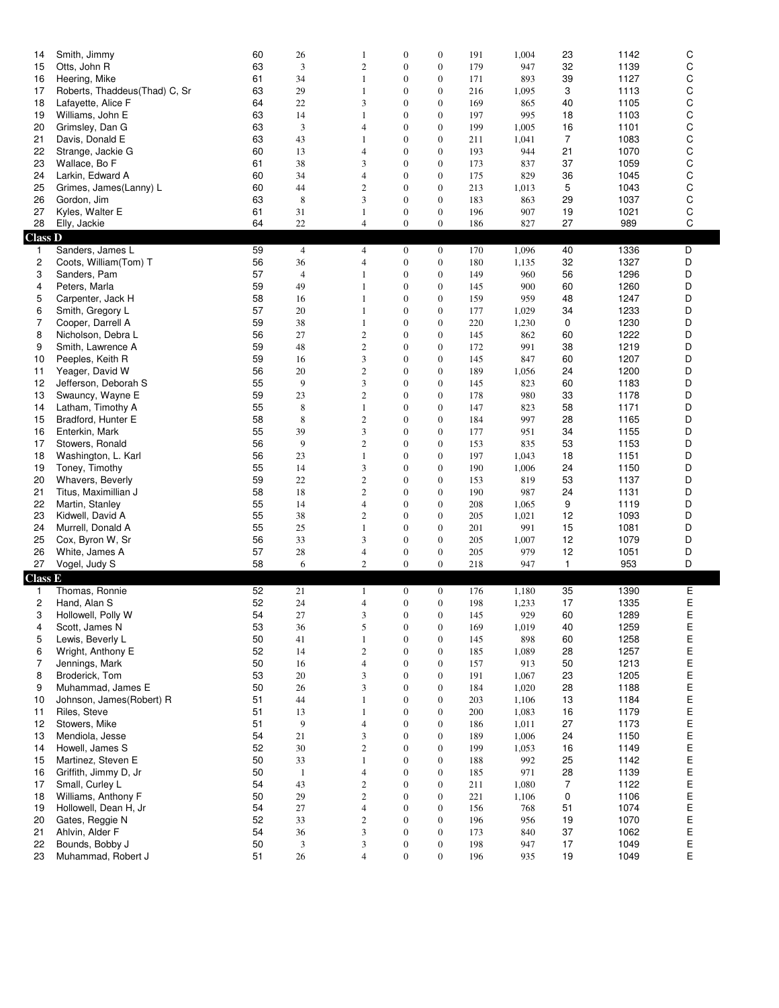| 14<br>15<br>16 | Smith, Jimmy<br>Otts, John R<br>Heering, Mike | 60<br>63<br>61 | 26<br>3<br>34  | 1<br>$\mathbf{2}$<br>$\mathbf{1}$ | $\boldsymbol{0}$<br>$\boldsymbol{0}$<br>$\boldsymbol{0}$ | $\boldsymbol{0}$<br>$\boldsymbol{0}$<br>$\boldsymbol{0}$ | 191<br>179<br>171 | 1,004<br>947<br>893 | 23<br>32<br>39 | 1142<br>1139<br>1127 | С<br>C<br>C      |
|----------------|-----------------------------------------------|----------------|----------------|-----------------------------------|----------------------------------------------------------|----------------------------------------------------------|-------------------|---------------------|----------------|----------------------|------------------|
| 17             | Roberts, Thaddeus(Thad) C, Sr                 | 63             | 29             | $\mathbf{1}$                      | $\mathbf{0}$                                             | $\boldsymbol{0}$                                         | 216               | 1,095               | 3              | 1113                 | C                |
| 18             | Lafayette, Alice F                            | 64             | 22             | 3                                 | $\mathbf{0}$                                             | $\overline{0}$                                           | 169               | 865                 | 40             | 1105                 | C                |
| 19             | Williams, John E                              | 63             | 14             | 1                                 | $\boldsymbol{0}$                                         | $\boldsymbol{0}$                                         | 197               | 995                 | 18             | 1103                 | $\mathsf C$      |
| 20             | Grimsley, Dan G                               | 63             | 3              | $\overline{4}$                    | $\mathbf{0}$                                             | $\boldsymbol{0}$                                         | 199               | 1,005               | 16             | 1101                 | C                |
| 21             | Davis, Donald E                               | 63             | 43             | 1                                 | $\boldsymbol{0}$                                         | $\boldsymbol{0}$                                         | 211               | 1,041               | $\overline{7}$ | 1083                 | $\mathsf C$      |
| 22             | Strange, Jackie G                             | 60             | 13             | $\overline{4}$                    | $\boldsymbol{0}$                                         | $\boldsymbol{0}$                                         | 193               | 944                 | 21             | 1070                 | C                |
| 23             | Wallace, Bo F                                 | 61             | 38             | 3                                 | $\mathbf{0}$                                             | $\boldsymbol{0}$                                         | 173               | 837                 | 37             | 1059                 | C                |
| 24             | Larkin, Edward A                              | 60             | 34             | $\overline{4}$                    | $\mathbf{0}$                                             | $\boldsymbol{0}$                                         | 175               | 829                 | 36             | 1045                 | $\mathsf C$      |
| 25<br>26       | Grimes, James(Lanny) L                        | 60<br>63       | 44<br>8        | $\mathbf{2}$<br>3                 | $\mathbf{0}$<br>$\mathbf{0}$                             | $\boldsymbol{0}$<br>$\boldsymbol{0}$                     | 213<br>183        | 1,013<br>863        | 5              | 1043<br>1037         | C<br>$\mathsf C$ |
| 27             | Gordon, Jim<br>Kyles, Walter E                | 61             | 31             | $\mathbf{1}$                      | $\boldsymbol{0}$                                         | $\boldsymbol{0}$                                         | 196               | 907                 | 29<br>19       | 1021                 | C                |
| 28             | Elly, Jackie                                  | 64             | $22\,$         | $\overline{\mathcal{L}}$          | $\mathbf{0}$                                             | $\boldsymbol{0}$                                         | 186               | 827                 | 27             | 989                  | C                |
| <b>Class D</b> |                                               |                |                |                                   |                                                          |                                                          |                   |                     |                |                      |                  |
| 1.             | Sanders, James L                              | 59             | $\overline{4}$ | $\overline{4}$                    | $\mathbf{0}$                                             | $\bf{0}$                                                 | 170               | 1,096               | 40             | 1336                 | D                |
| 2              | Coots, William(Tom) T                         | 56             | 36             | $\overline{4}$                    | $\boldsymbol{0}$                                         | $\boldsymbol{0}$                                         | 180               | 1,135               | 32             | 1327                 | D                |
| 3              | Sanders, Pam                                  | 57             | $\overline{4}$ | 1                                 | $\mathbf{0}$                                             | $\boldsymbol{0}$                                         | 149               | 960                 | 56             | 1296                 | D                |
| 4              | Peters, Marla                                 | 59             | 49             | 1                                 | $\mathbf{0}$                                             | $\boldsymbol{0}$                                         | 145               | 900                 | 60             | 1260                 | D                |
| 5              | Carpenter, Jack H                             | 58             | 16             | 1                                 | $\boldsymbol{0}$                                         | $\boldsymbol{0}$                                         | 159               | 959                 | 48             | 1247                 | D                |
| 6              | Smith, Gregory L                              | 57             | 20             | 1                                 | $\boldsymbol{0}$                                         | $\boldsymbol{0}$                                         | 177               | 1,029               | 34             | 1233                 | D                |
| 7              | Cooper, Darrell A                             | 59             | 38             | 1                                 | $\boldsymbol{0}$                                         | $\mathbf{0}$                                             | 220               | 1,230               | 0              | 1230                 | D                |
| 8              | Nicholson, Debra L                            | 56             | 27             | $\mathfrak{2}$                    | $\mathbf{0}$                                             | $\boldsymbol{0}$                                         | 145               | 862                 | 60             | 1222                 | D                |
| 9              | Smith, Lawrence A                             | 59             | 48             | $\mathfrak{2}$                    | $\mathbf{0}$                                             | $\boldsymbol{0}$                                         | 172               | 991                 | 38             | 1219                 | D                |
| 10             | Peeples, Keith R                              | 59             | 16             | 3                                 | $\mathbf{0}$                                             | $\boldsymbol{0}$                                         | 145               | 847                 | 60             | 1207                 | D                |
| 11             | Yeager, David W                               | 56             | 20             | $\mathfrak{2}$                    | $\mathbf{0}$                                             | $\boldsymbol{0}$                                         | 189               | 1,056               | 24             | 1200                 | D                |
| 12             | Jefferson, Deborah S                          | 55             | 9              | 3                                 | $\mathbf{0}$                                             | $\mathbf{0}$                                             | 145               | 823                 | 60             | 1183                 | D                |
| 13             | Swauncy, Wayne E                              | 59             | 23             | $\mathbf{2}$                      | $\mathbf{0}$                                             | $\boldsymbol{0}$                                         | 178               | 980                 | 33             | 1178                 | D                |
| 14             | Latham, Timothy A                             | 55             | 8              | 1                                 | $\mathbf{0}$                                             | $\boldsymbol{0}$                                         | 147               | 823                 | 58             | 1171                 | D                |
| 15             | Bradford, Hunter E                            | 58             | 8              | $\boldsymbol{2}$                  | $\mathbf{0}$                                             | $\boldsymbol{0}$                                         | 184               | 997                 | 28             | 1165                 | D                |
| 16             | Enterkin, Mark                                | 55<br>56       | 39<br>9        | 3                                 | $\mathbf{0}$                                             | $\boldsymbol{0}$                                         | 177               | 951                 | 34<br>53       | 1155                 | D<br>D           |
| 17<br>18       | Stowers, Ronald<br>Washington, L. Karl        | 56             | 23             | $\mathfrak{2}$<br>$\mathbf{1}$    | $\mathbf{0}$<br>$\mathbf{0}$                             | $\boldsymbol{0}$<br>$\boldsymbol{0}$                     | 153<br>197        | 835<br>1,043        | 18             | 1153<br>1151         | D                |
| 19             | Toney, Timothy                                | 55             | 14             | 3                                 | $\boldsymbol{0}$                                         | $\mathbf{0}$                                             | 190               | 1,006               | 24             | 1150                 | D                |
| 20             | <b>Whavers, Beverly</b>                       | 59             | 22             | $\mathbf{2}$                      | $\boldsymbol{0}$                                         | $\boldsymbol{0}$                                         | 153               | 819                 | 53             | 1137                 | D                |
| 21             | Titus, Maximillian J                          | 58             | 18             | $\mathfrak{2}$                    | $\mathbf{0}$                                             | $\boldsymbol{0}$                                         | 190               | 987                 | 24             | 1131                 | D                |
| 22             | Martin, Stanley                               | 55             | 14             | $\overline{4}$                    | $\mathbf{0}$                                             | $\boldsymbol{0}$                                         | 208               | 1,065               | 9              | 1119                 | D                |
| 23             | Kidwell, David A                              | 55             | 38             | $\mathbf{2}$                      | $\mathbf{0}$                                             | $\boldsymbol{0}$                                         | 205               | 1,021               | 12             | 1093                 | D                |
| 24             | Murrell, Donald A                             | 55             | 25             | 1                                 | $\mathbf{0}$                                             | $\mathbf{0}$                                             | 201               | 991                 | 15             | 1081                 | D                |
| 25             | Cox, Byron W, Sr                              | 56             | 33             | 3                                 | $\boldsymbol{0}$                                         | $\boldsymbol{0}$                                         | 205               | 1,007               | 12             | 1079                 | D                |
| 26             | White, James A                                | 57             | 28             | 4                                 | $\boldsymbol{0}$                                         | $\boldsymbol{0}$                                         | 205               | 979                 | 12             | 1051                 | D                |
| 27             | Vogel, Judy S                                 | 58             | 6              | $\mathfrak{2}$                    | $\mathbf{0}$                                             | $\boldsymbol{0}$                                         | 218               | 947                 | 1              | 953                  | D                |
| <b>Class E</b> |                                               |                |                |                                   |                                                          |                                                          |                   |                     |                |                      |                  |
| 1              | Thomas, Ronnie                                | 52             | 21             | $\mathbf{1}$                      | $\mathbf{0}$                                             | $\mathbf{0}$                                             | 176               | 1,180               | 35             | 1390                 | Ε                |
| 2              | Hand, Alan S                                  | 52             | 24             | $\overline{4}$                    | $\mathbf{0}$                                             | $\boldsymbol{0}$                                         | 198               | 1,233               | 17             | 1335                 | Е                |
| 3              | Hollowell, Polly W                            | 54             | 27             | 3                                 | $\mathbf{0}$                                             | $\mathbf{0}$                                             | 145               | 929                 | 60             | 1289                 | Е                |
| 4              | Scott, James N                                | 53             | 36             | 5                                 | $\mathbf{0}$                                             | $\boldsymbol{0}$                                         | 169               | 1,019               | 40             | 1259                 | Ε                |
| 5              | Lewis, Beverly L                              | 50             | 41             | $1\,$                             | $\boldsymbol{0}$                                         | $\boldsymbol{0}$                                         | 145               | 898                 | 60             | 1258                 | E                |
| 6<br>7         | Wright, Anthony E<br>Jennings, Mark           | 52<br>50       | 14<br>16       | $\mathfrak{2}$<br>$\overline{4}$  | $\mathbf{0}$<br>$\boldsymbol{0}$                         | $\boldsymbol{0}$<br>$\mathbf{0}$                         | 185               | 1,089<br>913        | 28<br>50       | 1257<br>1213         | Е<br>E           |
| 8              | Broderick, Tom                                | 53             | $20\,$         | 3                                 | $\mathbf{0}$                                             | $\mathbf{0}$                                             | 157<br>191        | 1,067               | 23             | 1205                 | Ε                |
| 9              | Muhammad, James E                             | 50             | 26             | 3                                 | $\boldsymbol{0}$                                         | $\boldsymbol{0}$                                         | 184               | 1,020               | 28             | 1188                 | E                |
| 10             | Johnson, James (Robert) R                     | 51             | 44             | 1                                 | $\boldsymbol{0}$                                         | $\boldsymbol{0}$                                         | 203               | 1,106               | 13             | 1184                 | Е                |
| 11             | Riles, Steve                                  | 51             | 13             | $\mathbf{1}$                      | $\mathbf{0}$                                             | $\boldsymbol{0}$                                         | 200               | 1,083               | 16             | 1179                 | E                |
| 12             | Stowers, Mike                                 | 51             | 9              | $\overline{4}$                    | $\boldsymbol{0}$                                         | $\mathbf{0}$                                             | 186               | 1,011               | 27             | 1173                 | E                |
| 13             | Mendiola, Jesse                               | 54             | 21             | 3                                 | $\boldsymbol{0}$                                         | $\mathbf{0}$                                             | 189               | 1,006               | 24             | 1150                 | E                |
| 14             | Howell, James S                               | 52             | 30             | $\sqrt{2}$                        | $\boldsymbol{0}$                                         | $\boldsymbol{0}$                                         | 199               | 1,053               | 16             | 1149                 | E                |
| 15             | Martinez, Steven E                            | 50             | 33             | $\mathbf{1}$                      | $\mathbf{0}$                                             | $\mathbf{0}$                                             | 188               | 992                 | 25             | 1142                 | Е                |
| 16             | Griffith, Jimmy D, Jr                         | 50             | $\mathbf{1}$   | $\overline{4}$                    | $\boldsymbol{0}$                                         | $\mathbf{0}$                                             | 185               | 971                 | 28             | 1139                 | E                |
| 17             | Small, Curley L                               | 54             | 43             | $\sqrt{2}$                        | $\boldsymbol{0}$                                         | $\mathbf{0}$                                             | 211               | 1,080               | 7              | 1122                 | E                |
| 18             | Williams, Anthony F                           | 50             | 29             | $\sqrt{2}$                        | $\mathbf{0}$                                             | $\boldsymbol{0}$                                         | 221               | 1,106               | 0              | 1106                 | E                |
| 19             | Hollowell, Dean H, Jr                         | 54             | 27             | $\overline{4}$                    | $\boldsymbol{0}$                                         | $\boldsymbol{0}$                                         | 156               | 768                 | 51             | 1074                 | E                |
| 20             | Gates, Reggie N                               | 52             | 33             | $\sqrt{2}$                        | $\mathbf{0}$                                             | $\mathbf{0}$                                             | 196               | 956                 | 19             | 1070                 | E                |
| 21             | Ahlvin, Alder F                               | 54             | 36             | $\mathfrak{Z}$                    | $\mathbf{0}$                                             | $\boldsymbol{0}$                                         | 173               | 840                 | 37             | 1062                 | Е                |
| 22<br>23       | Bounds, Bobby J<br>Muhammad, Robert J         | 50<br>51       | 3<br>26        | 3<br>$\overline{4}$               | $\boldsymbol{0}$<br>$\mathbf{0}$                         | $\boldsymbol{0}$<br>$\mathbf{0}$                         | 198<br>196        | 947<br>935          | 17<br>19       | 1049<br>1049         | E<br>E           |
|                |                                               |                |                |                                   |                                                          |                                                          |                   |                     |                |                      |                  |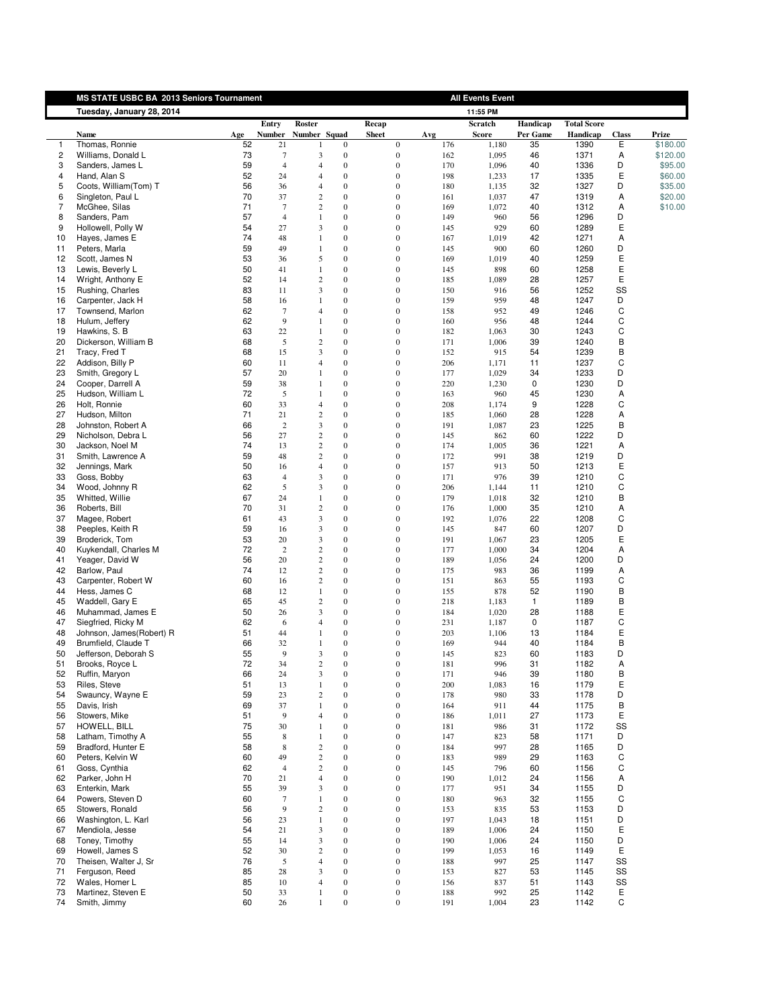<span id="page-3-0"></span>

|                     | MS STATE USBC BA 2013 Seniors Tournament |          |                                    |                                |                                      |                                      |            | <b>All Events Event</b> |              |                    |              |                     |
|---------------------|------------------------------------------|----------|------------------------------------|--------------------------------|--------------------------------------|--------------------------------------|------------|-------------------------|--------------|--------------------|--------------|---------------------|
|                     | Tuesday, January 28, 2014                |          |                                    |                                |                                      |                                      |            | 11:55 PM                |              |                    |              |                     |
|                     |                                          |          | Entry                              | Roster                         |                                      | Recap                                |            | Scratch                 | Handicap     | <b>Total Score</b> |              |                     |
|                     | Name                                     | Age      | <b>Number</b>                      | Number Squad                   |                                      | <b>Sheet</b>                         | Avg        | <b>Score</b>            | Per Game     | Handicap           | <b>Class</b> | Prize               |
|                     | Thomas, Ronnie                           | 52       | 21                                 |                                | $\mathbf{0}$                         | $\mathbf{0}$                         | 176        | 1,180                   | 35           | 1390               | Ε            | \$180.00            |
| $\overline{c}$<br>3 | Williams, Donald L<br>Sanders, James L   | 73<br>59 | $\boldsymbol{7}$<br>$\overline{4}$ | 3<br>$\overline{4}$            | $\mathbf{0}$<br>$\boldsymbol{0}$     | $\boldsymbol{0}$<br>$\boldsymbol{0}$ | 162<br>170 | 1,095<br>1,096          | 46<br>40     | 1371<br>1336       | Α<br>D       | \$120.00<br>\$95.00 |
| 4                   | Hand, Alan S                             | 52       | 24                                 | $\overline{4}$                 | $\overline{0}$                       | $\mathbf{0}$                         | 198        | 1,233                   | 17           | 1335               | Ε            | \$60.00             |
| 5                   | Coots, William(Tom) T                    | 56       | 36                                 | $\overline{4}$                 | $\mathbf{0}$                         | $\mathbf{0}$                         | 180        | 1,135                   | 32           | 1327               | D            | \$35.00             |
| 6                   | Singleton, Paul L                        | 70       | 37                                 | $\mathbf{2}$                   | $\overline{0}$                       | $\overline{0}$                       | 161        | 1,037                   | 47           | 1319               | Α            | \$20.00             |
| 7                   | McGhee, Silas                            | 71       | $\overline{7}$                     | $\mathbf{2}$                   | $\mathbf{0}$                         | $\boldsymbol{0}$                     | 169        | 1,072                   | 40           | 1312               | Α            | \$10.00             |
| 8                   | Sanders, Pam                             | 57       | $\overline{4}$                     | 1                              | $\overline{0}$                       | $\mathbf{0}$                         | 149        | 960                     | 56           | 1296               | D            |                     |
| 9<br>10             | Hollowell, Polly W<br>Hayes, James E     | 54<br>74 | 27<br>48                           | 3<br>1                         | $\mathbf{0}$<br>$\boldsymbol{0}$     | $\mathbf{0}$<br>$\boldsymbol{0}$     | 145        | 929                     | 60<br>42     | 1289               | Ε            |                     |
| 11                  | Peters, Marla                            | 59       | 49                                 | 1                              | $\theta$                             | $\mathbf{0}$                         | 167<br>145 | 1,019<br>900            | 60           | 1271<br>1260       | Α<br>D       |                     |
| 12                  | Scott, James N                           | 53       | 36                                 | 5                              | $\mathbf{0}$                         | $\mathbf{0}$                         | 169        | 1,019                   | 40           | 1259               | E            |                     |
| 13                  | Lewis, Beverly L                         | 50       | 41                                 | 1                              | $\overline{0}$                       | $\mathbf{0}$                         | 145        | 898                     | 60           | 1258               | Ε            |                     |
| 14                  | Wright, Anthony E                        | 52       | 14                                 | $\mathbf{2}$                   | $\mathbf{0}$                         | $\mathbf{0}$                         | 185        | 1,089                   | 28           | 1257               | Ε            |                     |
| 15                  | Rushing, Charles                         | 83       | 11                                 | 3                              | $\overline{0}$                       | $\overline{0}$                       | 150        | 916                     | 56           | 1252               | SS           |                     |
| 16                  | Carpenter, Jack H                        | 58       | 16                                 | 1                              | $\mathbf{0}$                         | $\mathbf{0}$                         | 159        | 959                     | 48           | 1247               | D            |                     |
| 17<br>18            | Townsend, Marlon<br>Hulum, Jeffery       | 62<br>62 | $7\phantom{.0}$<br>9               | $\overline{4}$<br>1            | $\overline{0}$<br>$\mathbf{0}$       | $\overline{0}$<br>$\mathbf{0}$       | 158<br>160 | 952<br>956              | 49<br>48     | 1246<br>1244       | C<br>С       |                     |
| 19                  | Hawkins, S. B                            | 63       | 22                                 | 1                              | $\mathbf{0}$                         | $\mathbf{0}$                         | 182        | 1,063                   | 30           | 1243               | С            |                     |
| 20                  | Dickerson, William B                     | 68       | 5                                  | $\overline{c}$                 | $\mathbf{0}$                         | $\overline{0}$                       | 171        | 1,006                   | 39           | 1240               | B            |                     |
| 21                  | Tracy, Fred T                            | 68       | 15                                 | 3                              | $\boldsymbol{0}$                     | $\boldsymbol{0}$                     | 152        | 915                     | 54           | 1239               | B            |                     |
| 22                  | Addison, Billy P                         | 60       | 11                                 | $\overline{4}$                 | $\mathbf{0}$                         | $\mathbf{0}$                         | 206        | 1,171                   | 11           | 1237               | C            |                     |
| 23                  | Smith, Gregory L                         | 57       | 20                                 | 1                              | $\mathbf{0}$                         | $\mathbf{0}$                         | 177        | 1,029                   | 34           | 1233               | D            |                     |
| 24                  | Cooper, Darrell A                        | 59<br>72 | 38                                 | 1<br>1                         | $\overline{0}$<br>$\theta$           | $\mathbf{0}$<br>$\mathbf{0}$         | 220        | 1,230                   | 0            | 1230               | D<br>Α       |                     |
| 25<br>26            | Hudson, William L<br>Holt, Ronnie        | 60       | 5<br>33                            | $\overline{4}$                 | $\mathbf{0}$                         | $\mathbf{0}$                         | 163<br>208 | 960<br>1,174            | 45<br>9      | 1230<br>1228       | С            |                     |
| 27                  | Hudson, Milton                           | 71       | 21                                 | $\sqrt{2}$                     | $\overline{0}$                       | $\mathbf{0}$                         | 185        | 1,060                   | 28           | 1228               | Α            |                     |
| 28                  | Johnston, Robert A                       | 66       | $\overline{2}$                     | $\overline{\mathbf{3}}$        | $\boldsymbol{0}$                     | $\boldsymbol{0}$                     | 191        | 1,087                   | 23           | 1225               | B            |                     |
| 29                  | Nicholson, Debra L                       | 56       | 27                                 | $\mathbf{2}$                   | $\mathbf{0}$                         | $\mathbf{0}$                         | 145        | 862                     | 60           | 1222               | D            |                     |
| 30                  | Jackson, Noel M                          | 74       | 13                                 | $\boldsymbol{2}$               | $\mathbf{0}$                         | $\mathbf{0}$                         | 174        | 1,005                   | 36           | 1221               | Α            |                     |
| 31                  | Smith, Lawrence A                        | 59       | 48                                 | $\mathbf{2}$                   | $\overline{0}$                       | $\overline{0}$                       | 172        | 991                     | 38           | 1219               | D<br>Ε       |                     |
| 32<br>33            | Jennings, Mark<br>Goss, Bobby            | 50<br>63 | 16<br>$\overline{4}$               | $\overline{4}$<br>3            | $\boldsymbol{0}$<br>$\overline{0}$   | $\boldsymbol{0}$<br>$\mathbf{0}$     | 157<br>171 | 913<br>976              | 50<br>39     | 1213<br>1210       | C            |                     |
| 34                  | Wood, Johnny R                           | 62       | 5                                  | 3                              | $\mathbf{0}$                         | $\mathbf{0}$                         | 206        | 1,144                   | 11           | 1210               | C            |                     |
| 35                  | Whitted, Willie                          | 67       | 24                                 | 1                              | $\boldsymbol{0}$                     | $\boldsymbol{0}$                     | 179        | 1,018                   | 32           | 1210               | B            |                     |
| 36                  | Roberts, Bill                            | 70       | 31                                 | $\mathbf{2}$                   | $\theta$                             | $\mathbf{0}$                         | 176        | 1,000                   | 35           | 1210               | Α            |                     |
| 37                  | Magee, Robert                            | 61       | 43                                 | 3                              | $\mathbf{0}$                         | $\mathbf{0}$                         | 192        | 1,076                   | 22           | 1208               | С            |                     |
| 38                  | Peeples, Keith R                         | 59       | 16                                 | 3                              | $\overline{0}$                       | $\mathbf{0}$                         | 145        | 847                     | 60           | 1207               | D            |                     |
| 39<br>40            | Broderick, Tom<br>Kuykendall, Charles M  | 53<br>72 | 20<br>2                            | 3<br>$\mathbf{2}$              | $\boldsymbol{0}$<br>$\overline{0}$   | $\mathbf{0}$<br>$\overline{0}$       | 191<br>177 | 1,067<br>1,000          | 23<br>34     | 1205<br>1204       | Ε<br>Α       |                     |
| 41                  | Yeager, David W                          | 56       | 20                                 | $\boldsymbol{2}$               | $\mathbf{0}$                         | $\mathbf{0}$                         | 189        | 1,056                   | 24           | 1200               | D            |                     |
| 42                  | Barlow, Paul                             | 74       | 12                                 | $\mathbf{2}$                   | $\overline{0}$                       | $\overline{0}$                       | 175        | 983                     | 36           | 1199               | Α            |                     |
| 43                  | Carpenter, Robert W                      | 60       | 16                                 | $\mathbf{2}$                   | $\mathbf{0}$                         | $\boldsymbol{0}$                     | 151        | 863                     | 55           | 1193               | С            |                     |
| 44                  | Hess, James C                            | 68       | 12                                 | $\mathbf{1}$                   | $\mathbf{0}$                         | $\mathbf{0}$                         | 155        | 878                     | 52           | 1190               | B            |                     |
| 45                  | Waddell, Gary E                          | 65       | 45                                 | $\sqrt{2}$                     | $\mathbf{0}$                         | $\overline{0}$                       | 218        | 1,183                   | $\mathbf{1}$ | 1189               | B            |                     |
| 46<br>47            | Muhammad, James E<br>Siegfried, Ricky M  | 50<br>62 | 26<br>6                            | 3<br>$\overline{4}$            | $\boldsymbol{0}$<br>$\mathbf{0}$     | $\boldsymbol{0}$<br>$\mathbf{0}$     | 184<br>231 | 1,020                   | 28<br>0      | 1188<br>1187       | Ε<br>C       |                     |
| 48                  | Johnson, James(Robert) R                 | 51       | 44                                 | 1                              | $\mathbf{0}$                         | $\mathbf{0}$                         | 203        | 1,187<br>1,106          | 13           | 1184               | Ε            |                     |
| 49                  | Brumfield, Claude T                      | 66       | 32                                 | 1                              | $\overline{0}$                       | $\mathbf{0}$                         | 169        | 944                     | 40           | 1184               | B            |                     |
| 50                  | Jefferson, Deborah S                     | 55       | 9                                  | 3                              | $\theta$                             | $\mathbf{0}$                         | 145        | 823                     | 60           | 1183               | D            |                     |
| 51                  | Brooks, Royce L                          | 72       | 34                                 | 2                              | 0                                    | $\bf{0}$                             | 181        | 996                     | 31           | 1182               | A            |                     |
| 52                  | Ruffin, Maryon                           | 66       | 24                                 | $\mathfrak{Z}$                 | $\boldsymbol{0}$                     | $\boldsymbol{0}$                     | 171        | 946                     | 39           | 1180               | B            |                     |
| 53                  | Riles, Steve                             | 51       | 13                                 | $\mathbf{1}$                   | $\boldsymbol{0}$                     | $\boldsymbol{0}$                     | 200        | 1,083                   | 16           | 1179               | E            |                     |
| 54<br>55            | Swauncy, Wayne E<br>Davis, Irish         | 59<br>69 | 23<br>37                           | $\mathbf{2}$<br>1              | $\boldsymbol{0}$<br>$\boldsymbol{0}$ | $\mathbf{0}$<br>$\boldsymbol{0}$     | 178<br>164 | 980<br>911              | 33<br>44     | 1178<br>1175       | D<br>B       |                     |
| 56                  | Stowers, Mike                            | 51       | 9                                  | $\overline{4}$                 | $\boldsymbol{0}$                     | $\mathbf{0}$                         | 186        | 1,011                   | 27           | 1173               | Ε            |                     |
| 57                  | HOWELL, BILL                             | 75       | 30                                 | 1                              | $\boldsymbol{0}$                     | $\boldsymbol{0}$                     | 181        | 986                     | 31           | 1172               | SS           |                     |
| 58                  | Latham, Timothy A                        | 55       | 8                                  | $\mathbf{1}$                   | $\boldsymbol{0}$                     | $\boldsymbol{0}$                     | 147        | 823                     | 58           | 1171               | D            |                     |
| 59                  | Bradford, Hunter E                       | 58       | $8\phantom{1}$                     | $\sqrt{2}$                     | $\boldsymbol{0}$                     | $\boldsymbol{0}$                     | 184        | 997                     | 28           | 1165               | D            |                     |
| 60                  | Peters, Kelvin W                         | 60       | 49                                 | $\sqrt{2}$                     | $\boldsymbol{0}$                     | $\boldsymbol{0}$                     | 183        | 989                     | 29           | 1163               | С            |                     |
| 61<br>62            | Goss, Cynthia                            | 62       | $\overline{4}$                     | $\sqrt{2}$<br>$\overline{4}$   | $\boldsymbol{0}$                     | $\boldsymbol{0}$                     | 145        | 796                     | 60           | 1156               | С            |                     |
| 63                  | Parker, John H<br>Enterkin, Mark         | 70<br>55 | 21<br>39                           | 3                              | $\boldsymbol{0}$<br>$\boldsymbol{0}$ | $\boldsymbol{0}$<br>$\boldsymbol{0}$ | 190<br>177 | 1,012<br>951            | 24<br>34     | 1156<br>1155       | Α<br>D       |                     |
| 64                  | Powers, Steven D                         | 60       | $\overline{7}$                     | $\mathbf{1}$                   | $\boldsymbol{0}$                     | $\boldsymbol{0}$                     | 180        | 963                     | 32           | 1155               | C            |                     |
| 65                  | Stowers, Ronald                          | 56       | 9                                  | $\mathbf{2}$                   | $\boldsymbol{0}$                     | $\boldsymbol{0}$                     | 153        | 835                     | 53           | 1153               | D            |                     |
| 66                  | Washington, L. Karl                      | 56       | 23                                 | 1                              | $\boldsymbol{0}$                     | $\boldsymbol{0}$                     | 197        | 1,043                   | 18           | 1151               | D            |                     |
| 67                  | Mendiola, Jesse                          | 54       | 21                                 | $\overline{\mathbf{3}}$        | $\boldsymbol{0}$                     | $\boldsymbol{0}$                     | 189        | 1,006                   | 24           | 1150               | Ε            |                     |
| 68                  | Toney, Timothy                           | 55       | 14                                 | $\mathfrak{Z}$                 | $\boldsymbol{0}$                     | $\boldsymbol{0}$                     | 190        | 1,006                   | 24           | 1150               | D            |                     |
| 69<br>70            | Howell, James S<br>Theisen, Walter J, Sr | 52<br>76 | 30<br>$\sqrt{5}$                   | $\mathbf{2}$<br>$\overline{4}$ | $\boldsymbol{0}$<br>$\boldsymbol{0}$ | $\boldsymbol{0}$<br>$\boldsymbol{0}$ | 199        | 1,053<br>997            | 16<br>25     | 1149               | Ε<br>SS      |                     |
| 71                  | Ferguson, Reed                           | 85       | 28                                 | 3                              | $\boldsymbol{0}$                     | $\boldsymbol{0}$                     | 188<br>153 | 827                     | 53           | 1147<br>1145       | SS           |                     |
| 72                  | Wales, Homer L                           | 85       | 10                                 | $\overline{4}$                 | $\boldsymbol{0}$                     | $\boldsymbol{0}$                     | 156        | 837                     | 51           | 1143               | SS           |                     |
| 73                  | Martinez, Steven E                       | 50       | 33                                 | 1                              | $\boldsymbol{0}$                     | $\boldsymbol{0}$                     | 188        | 992                     | 25           | 1142               | Ε            |                     |
| 74                  | Smith, Jimmy                             | 60       | 26                                 | $\mathbf{1}$                   | $\boldsymbol{0}$                     | $\boldsymbol{0}$                     | 191        | 1,004                   | 23           | 1142               | С            |                     |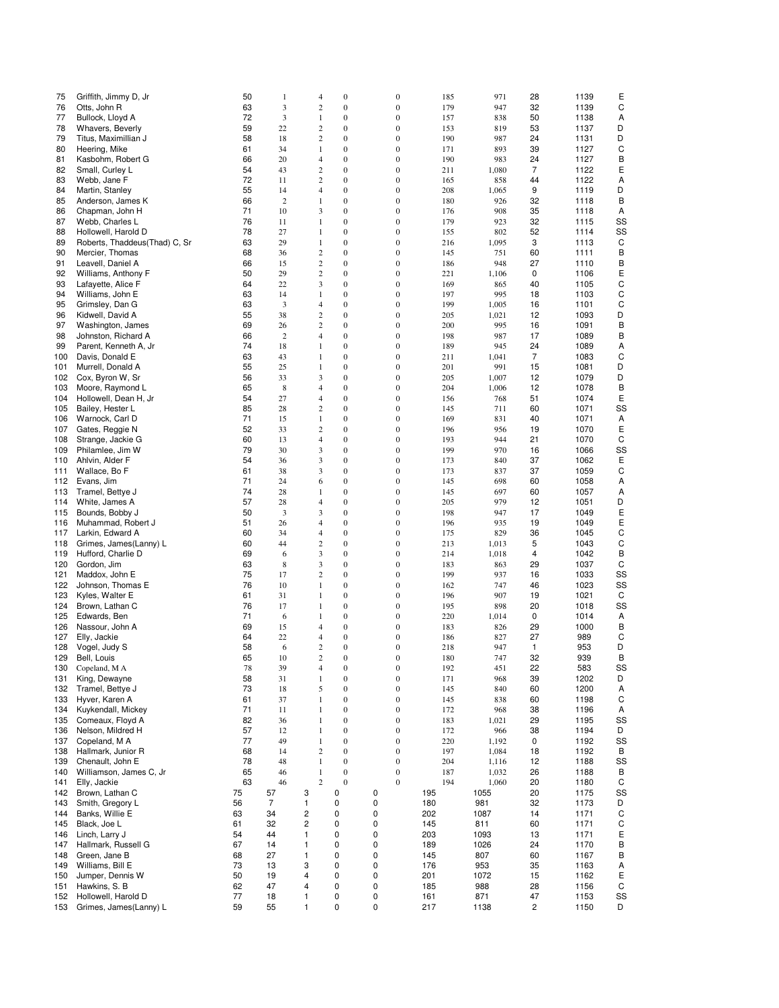| 75         | Griffith, Jimmy D, Jr                         | 50       | 1                       | 4                              | $\mathbf{0}$                         | 0                                    | 185        | 971          | 28             | 1139         | Ε       |
|------------|-----------------------------------------------|----------|-------------------------|--------------------------------|--------------------------------------|--------------------------------------|------------|--------------|----------------|--------------|---------|
| 76<br>77   | Otts, John R<br>Bullock, Lloyd A              | 63<br>72 | 3<br>3                  | $\overline{\mathbf{c}}$        | $\boldsymbol{0}$<br>$\mathbf{0}$     | $\boldsymbol{0}$<br>$\boldsymbol{0}$ | 179        | 947          | 32<br>50       | 1139         | C       |
| 78         | Whavers, Beverly                              | 59       | 22                      | $\mathbf{1}$<br>$\overline{c}$ | $\boldsymbol{0}$                     | $\boldsymbol{0}$                     | 157<br>153 | 838<br>819   | 53             | 1138<br>1137 | Α<br>D  |
| 79         | Titus, Maximillian J                          | 58       | 18                      | $\overline{c}$                 | $\mathbf{0}$                         | $\boldsymbol{0}$                     | 190        | 987          | 24             | 1131         | D       |
| 80         | Heering, Mike                                 | 61       | 34                      | $\mathbf{1}$                   | $\mathbf{0}$                         | $\boldsymbol{0}$                     | 171        | 893          | 39             | 1127         | C       |
| 81         | Kasbohm, Robert G                             | 66       | 20                      | 4                              | $\boldsymbol{0}$                     | $\boldsymbol{0}$                     | 190        | 983          | 24             | 1127         | B       |
| 82         | Small, Curley L                               | 54       | 43                      | $\boldsymbol{2}$               | $\boldsymbol{0}$                     | $\boldsymbol{0}$                     | 211        | 1,080        | $\overline{7}$ | 1122         | Ε       |
| 83         | Webb, Jane F                                  | 72       | 11                      | 2                              | $\mathbf{0}$                         | $\overline{0}$                       | 165        | 858          | 44             | 1122         | Α       |
| 84         | Martin, Stanley                               | 55       | 14                      | 4                              | $\mathbf{0}$                         | $\boldsymbol{0}$                     | 208        | 1,065        | 9              | 1119         | D       |
| 85         | Anderson, James K                             | 66       | $\overline{2}$          | 1                              | $\boldsymbol{0}$                     | $\boldsymbol{0}$                     | 180        | 926          | 32             | 1118         | B       |
| 86<br>87   | Chapman, John H<br>Webb, Charles L            | 71<br>76 | 10<br>11                | 3<br>1                         | $\mathbf{0}$<br>$\mathbf{0}$         | $\boldsymbol{0}$<br>$\boldsymbol{0}$ | 176<br>179 | 908<br>923   | 35<br>32       | 1118<br>1115 | Α<br>SS |
| 88         | Hollowell, Harold D                           | 78       | 27                      | 1                              | $\boldsymbol{0}$                     | $\boldsymbol{0}$                     | 155        | 802          | 52             | 1114         | SS      |
| 89         | Roberts, Thaddeus(Thad) C, Sr                 | 63       | 29                      | $\mathbf{1}$                   | $\mathbf{0}$                         | $\boldsymbol{0}$                     | 216        | 1,095        | 3              | 1113         | C       |
| 90         | Mercier, Thomas                               | 68       | 36                      | $\overline{c}$                 | $\boldsymbol{0}$                     | $\bf{0}$                             | 145        | 751          | 60             | 1111         | B       |
| 91         | Leavell, Daniel A                             | 66       | 15                      | $\boldsymbol{2}$               | $\mathbf{0}$                         | $\boldsymbol{0}$                     | 186        | 948          | 27             | 1110         | B       |
| 92         | Williams, Anthony F                           | 50       | 29                      | 2                              | $\boldsymbol{0}$                     | $\boldsymbol{0}$                     | 221        | 1,106        | 0              | 1106         | Ε       |
| 93         | Lafayette, Alice F                            | 64       | 22                      | 3                              | $\boldsymbol{0}$                     | $\boldsymbol{0}$                     | 169        | 865          | 40             | 1105         | С       |
| 94         | Williams, John E                              | 63       | 14                      | 1                              | $\mathbf{0}$                         | $\boldsymbol{0}$                     | 197        | 995          | 18             | 1103         | C       |
| 95<br>96   | Grimsley, Dan G                               | 63       | 3                       | 4                              | $\boldsymbol{0}$<br>$\boldsymbol{0}$ | $\boldsymbol{0}$<br>$\boldsymbol{0}$ | 199        | 1,005        | 16             | 1101<br>1093 | C<br>D  |
| 97         | Kidwell, David A<br>Washington, James         | 55<br>69 | 38<br>26                | $\boldsymbol{2}$<br>2          | $\mathbf{0}$                         | $\bf{0}$                             | 205<br>200 | 1,021<br>995 | 12<br>16       | 1091         | B       |
| 98         | Johnston, Richard A                           | 66       | $\overline{\mathbf{c}}$ | 4                              | $\mathbf{0}$                         | $\boldsymbol{0}$                     | 198        | 987          | 17             | 1089         | B       |
| 99         | Parent, Kenneth A, Jr                         | 74       | 18                      | 1                              | $\mathbf{0}$                         | $\boldsymbol{0}$                     | 189        | 945          | 24             | 1089         | Α       |
| 100        | Davis, Donald E                               | 63       | 43                      | 1                              | $\mathbf{0}$                         | $\boldsymbol{0}$                     | 211        | 1,041        | 7              | 1083         | C       |
| 101        | Murrell, Donald A                             | 55       | 25                      | $\mathbf{1}$                   | $\boldsymbol{0}$                     | $\boldsymbol{0}$                     | 201        | 991          | 15             | 1081         | D       |
| 102        | Cox, Byron W, Sr                              | 56       | 33                      | 3                              | $\mathbf{0}$                         | $\boldsymbol{0}$                     | 205        | 1,007        | 12             | 1079         | D       |
| 103        | Moore, Raymond L                              | 65       | 8                       | 4                              | $\boldsymbol{0}$                     | $\boldsymbol{0}$                     | 204        | 1,006        | 12             | 1078         | B       |
| 104        | Hollowell, Dean H, Jr                         | 54       | 27                      | 4                              | $\boldsymbol{0}$                     | $\boldsymbol{0}$                     | 156        | 768          | 51             | 1074         | Ε       |
| 105        | Bailey, Hester L<br>Warnock, Carl D           | 85<br>71 | 28                      | 2                              | $\mathbf{0}$<br>$\boldsymbol{0}$     | $\boldsymbol{0}$<br>$\boldsymbol{0}$ | 145<br>169 | 711          | 60<br>40       | 1071<br>1071 | SS      |
| 106<br>107 | Gates, Reggie N                               | 52       | 15<br>33                | 1<br>2                         | $\boldsymbol{0}$                     | $\boldsymbol{0}$                     | 196        | 831<br>956   | 19             | 1070         | Α<br>Ε  |
| 108        | Strange, Jackie G                             | 60       | 13                      | 4                              | $\mathbf{0}$                         | $\overline{0}$                       | 193        | 944          | 21             | 1070         | C       |
| 109        | Philamlee, Jim W                              | 79       | 30                      | 3                              | $\mathbf{0}$                         | $\boldsymbol{0}$                     | 199        | 970          | 16             | 1066         | SS      |
| 110        | Ahlvin, Alder F                               | 54       | 36                      | 3                              | $\mathbf{0}$                         | $\boldsymbol{0}$                     | 173        | 840          | 37             | 1062         | Ε       |
| 111        | Wallace, Bo F                                 | 61       | 38                      | 3                              | $\mathbf{0}$                         | $\boldsymbol{0}$                     | 173        | 837          | 37             | 1059         | C       |
| 112        | Evans, Jim                                    | 71       | 24                      | 6                              | $\boldsymbol{0}$                     | $\boldsymbol{0}$                     | 145        | 698          | 60             | 1058         | Α       |
| 113        | Tramel, Bettye J                              | 74       | 28                      | 1                              | $\boldsymbol{0}$                     | $\boldsymbol{0}$                     | 145        | 697          | 60             | 1057         | Α       |
| 114        | White, James A                                | 57       | 28                      | 4                              | $\mathbf{0}$                         | $\boldsymbol{0}$                     | 205        | 979          | 12             | 1051         | D       |
| 115        | Bounds, Bobby J<br>Muhammad, Robert J         | 50<br>51 | 3                       | 3                              | $\boldsymbol{0}$<br>$\mathbf{0}$     | $\bf{0}$<br>$\boldsymbol{0}$         | 198<br>196 | 947          | 17<br>19       | 1049<br>1049 | Ε<br>Ε  |
| 116<br>117 | Larkin, Edward A                              | 60       | 26<br>34                | 4<br>4                         | $\boldsymbol{0}$                     | $\boldsymbol{0}$                     | 175        | 935<br>829   | 36             | 1045         | C       |
| 118        | Grimes, James(Lanny) L                        | 60       | 44                      | 2                              | $\boldsymbol{0}$                     | $\boldsymbol{0}$                     | 213        | 1,013        | 5              | 1043         | С       |
| 119        | Hufford, Charlie D                            | 69       | 6                       | 3                              | $\mathbf{0}$                         | $\boldsymbol{0}$                     | 214        | 1,018        | 4              | 1042         | B       |
| 120        | Gordon, Jim                                   | 63       | 8                       | 3                              | $\mathbf{0}$                         | $\boldsymbol{0}$                     | 183        | 863          | 29             | 1037         | C       |
| 121        | Maddox, John E                                | 75       | 17                      | 2                              | $\boldsymbol{0}$                     | $\boldsymbol{0}$                     | 199        | 937          | 16             | 1033         | SS      |
| 122        | Johnson, Thomas E                             | 76       | 10                      | 1                              | $\mathbf{0}$                         | $\bf{0}$                             | 162        | 747          | 46             | 1023         | SS      |
| 123        | Kyles, Walter E                               | 61       | 31                      | 1                              | $\mathbf{0}$                         | $\boldsymbol{0}$                     | 196        | 907          | 19             | 1021         | C       |
| 124        | Brown, Lathan C<br>Edwards, Ben               | 76<br>71 | 17                      | 1                              | $\mathbf{0}$<br>$\mathbf{0}$         | $\boldsymbol{0}$<br>$\boldsymbol{0}$ | 195        | 898          | 20<br>0        | 1018<br>1014 | SS      |
| 125<br>126 | Nassour, John A                               | 69       | 6<br>15                 | 1<br>4                         | $\boldsymbol{0}$                     | $\boldsymbol{0}$                     | 220<br>183 | 1,014<br>826 | 29             | 1000         | Α<br>в  |
| 127        | Elly, Jackie                                  | 64       | 22                      | 4                              | $\mathbf{0}$                         | $\boldsymbol{0}$                     | 186        | 827          | 27             | 989          | C       |
| 128        | Vogel, Judy S                                 | 58       | 6                       | 2                              | $\boldsymbol{0}$                     | $\boldsymbol{0}$                     | 218        | 947          | 1              | 953          | D       |
| 129        | Bell, Louis                                   | 65       | 10                      | 2                              | $\boldsymbol{0}$                     | $\mathbf{0}$                         | 180        | 747          | 32             | 939          | B       |
| 130        | Copeland, M A                                 | 78       | 39                      | $\overline{4}$                 | $\boldsymbol{0}$                     | $\boldsymbol{0}$                     | 192        | 451          | 22             | 583          | SS      |
| 131        | King, Dewayne                                 | 58       | 31                      | $\mathbf{1}$                   | $\mathbf{0}$                         | $\boldsymbol{0}$                     | 171        | 968          | 39             | 1202         | D       |
| 132        | Tramel, Bettye J                              | 73       | 18                      | 5                              | $\mathbf{0}$                         | $\boldsymbol{0}$                     | 145        | 840          | 60             | 1200         | Α       |
| 133<br>134 | Hyver, Karen A<br>Kuykendall, Mickey          | 61<br>71 | 37<br>11                | 1<br>1                         | $\mathbf{0}$<br>$\boldsymbol{0}$     | $\mathbf{0}$<br>$\boldsymbol{0}$     | 145<br>172 | 838<br>968   | 60<br>38       | 1198<br>1196 | C<br>Α  |
| 135        | Comeaux, Floyd A                              | 82       | 36                      | $\mathbf{1}$                   | $\boldsymbol{0}$                     | $\boldsymbol{0}$                     | 183        | 1,021        | 29             | 1195         | SS      |
| 136        | Nelson, Mildred H                             | 57       | 12                      | $\mathbf{1}$                   | $\mathbf{0}$                         | $\mathbf{0}$                         | 172        | 966          | 38             | 1194         | D       |
| 137        | Copeland, M A                                 | 77       | 49                      | $\mathbf{1}$                   | $\boldsymbol{0}$                     | $\boldsymbol{0}$                     | 220        | 1,192        | 0              | 1192         | SS      |
| 138        | Hallmark, Junior R                            | 68       | 14                      | $\overline{c}$                 | $\boldsymbol{0}$                     | $\boldsymbol{0}$                     | 197        | 1,084        | 18             | 1192         | В       |
| 139        | Chenault, John E                              | 78       | 48                      | 1                              | $\mathbf{0}$                         | $\boldsymbol{0}$                     | 204        | 1,116        | 12             | 1188         | SS      |
| 140        | Williamson, James C, Jr                       | 65       | 46                      | 1                              | $\mathbf{0}$                         | $\mathbf{0}$                         | 187        | 1,032        | 26             | 1188         | В       |
| 141        | Elly, Jackie                                  | 63       | 46                      | $\overline{c}$                 | $\mathbf{0}$                         | $\overline{0}$                       | 194        | 1,060        | 20             | 1180         | C       |
| 142        | Brown, Lathan C                               | 75       | 57<br>$\overline{7}$    | 3                              | 0                                    | 0                                    | 195        | 1055         | 20             | 1175         | SS      |
| 143<br>144 | Smith, Gregory L<br>Banks, Willie E           | 56<br>63 | 34                      | 1<br>2                         | 0<br>0                               | 0<br>0                               | 180<br>202 | 981<br>1087  | 32<br>14       | 1173<br>1171 | D<br>C  |
| 145        | Black, Joe L                                  | 61       | 32                      | $\overline{c}$                 | 0                                    | 0                                    | 145        | 811          | 60             | 1171         | C       |
| 146        | Linch, Larry J                                | 54       | 44                      | 1                              | 0                                    | 0                                    | 203        | 1093         | 13             | 1171         | Ε       |
| 147        | Hallmark, Russell G                           | 67       | 14                      | 1                              | 0                                    | 0                                    | 189        | 1026         | 24             | 1170         | B       |
| 148        | Green, Jane B                                 | 68       | 27                      | 1                              | 0                                    | 0                                    | 145        | 807          | 60             | 1167         | B       |
| 149        | Williams, Bill E                              | 73       | 13                      | 3                              | 0                                    | 0                                    | 176        | 953          | 35             | 1163         | Α       |
| 150        | Jumper, Dennis W                              | 50       | 19                      | 4                              | 0                                    | 0                                    | 201        | 1072         | 15             | 1162         | Ε       |
| 151        | Hawkins, S. B                                 | 62       | 47                      | 4                              | 0                                    | 0                                    | 185        | 988          | 28             | 1156         | C       |
| 152<br>153 | Hollowell, Harold D<br>Grimes, James(Lanny) L | 77<br>59 | 18<br>55                | 1<br>1                         | 0<br>0                               | 0<br>0                               | 161<br>217 | 871<br>1138  | 47<br>2        | 1153<br>1150 | SS<br>D |
|            |                                               |          |                         |                                |                                      |                                      |            |              |                |              |         |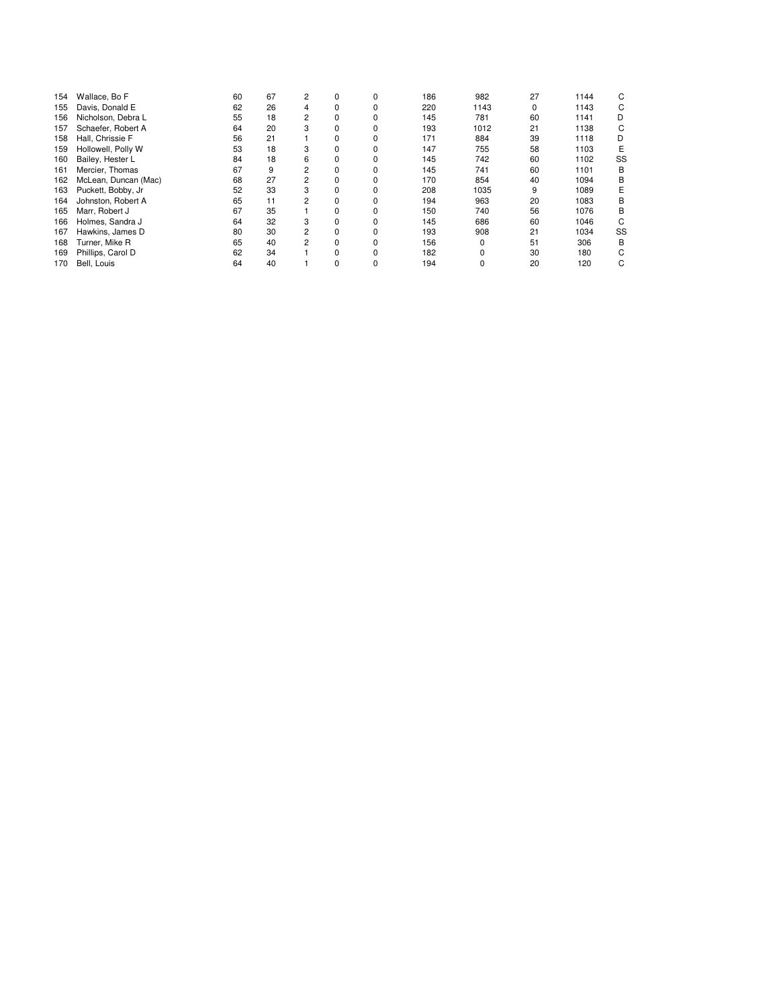| 154 | Wallace, Bo F        | 60 | 67 | 2              | 0        |   | 186 | 982  | 27 | 1144 | C  |
|-----|----------------------|----|----|----------------|----------|---|-----|------|----|------|----|
| 155 | Davis, Donald E      | 62 | 26 | 4              | 0        |   | 220 | 1143 | 0  | 1143 | C  |
| 156 | Nicholson, Debra L   | 55 | 18 | $\overline{2}$ | 0        | 0 | 145 | 781  | 60 | 1141 | D  |
| 157 | Schaefer, Robert A   | 64 | 20 | 3              | $\Omega$ |   | 193 | 1012 | 21 | 1138 | C  |
| 158 | Hall, Chrissie F     | 56 | 21 |                | 0        |   | 171 | 884  | 39 | 1118 | D  |
| 159 | Hollowell, Polly W   | 53 | 18 | 3              | 0        | 0 | 147 | 755  | 58 | 1103 | E  |
| 160 | Bailey, Hester L     | 84 | 18 | 6              | $\Omega$ | 0 | 145 | 742  | 60 | 1102 | SS |
| 161 | Mercier. Thomas      | 67 | 9  | 2              | $\Omega$ | 0 | 145 | 741  | 60 | 1101 | B  |
| 162 | McLean, Duncan (Mac) | 68 | 27 | $\overline{2}$ | 0        |   | 170 | 854  | 40 | 1094 | B  |
| 163 | Puckett, Bobby, Jr   | 52 | 33 |                | $\Omega$ |   | 208 | 1035 | 9  | 1089 | E  |
| 164 | Johnston, Robert A   | 65 | 11 | $\overline{2}$ | 0        |   | 194 | 963  | 20 | 1083 | B  |
| 165 | Marr. Robert J       | 67 | 35 |                | $\Omega$ | 0 | 150 | 740  | 56 | 1076 | B  |
| 166 | Holmes, Sandra J     | 64 | 32 | 3              | 0        |   | 145 | 686  | 60 | 1046 | C  |
| 167 | Hawkins, James D     | 80 | 30 | 2              | $\Omega$ |   | 193 | 908  | 21 | 1034 | SS |
| 168 | Turner, Mike R       | 65 | 40 | 2              | 0        |   | 156 |      | 51 | 306  | B  |
| 169 | Phillips, Carol D    | 62 | 34 |                | $\Omega$ |   | 182 |      | 30 | 180  |    |
| 170 | Bell. Louis          | 64 | 40 |                | 0        | 0 | 194 |      | 20 | 120  | C  |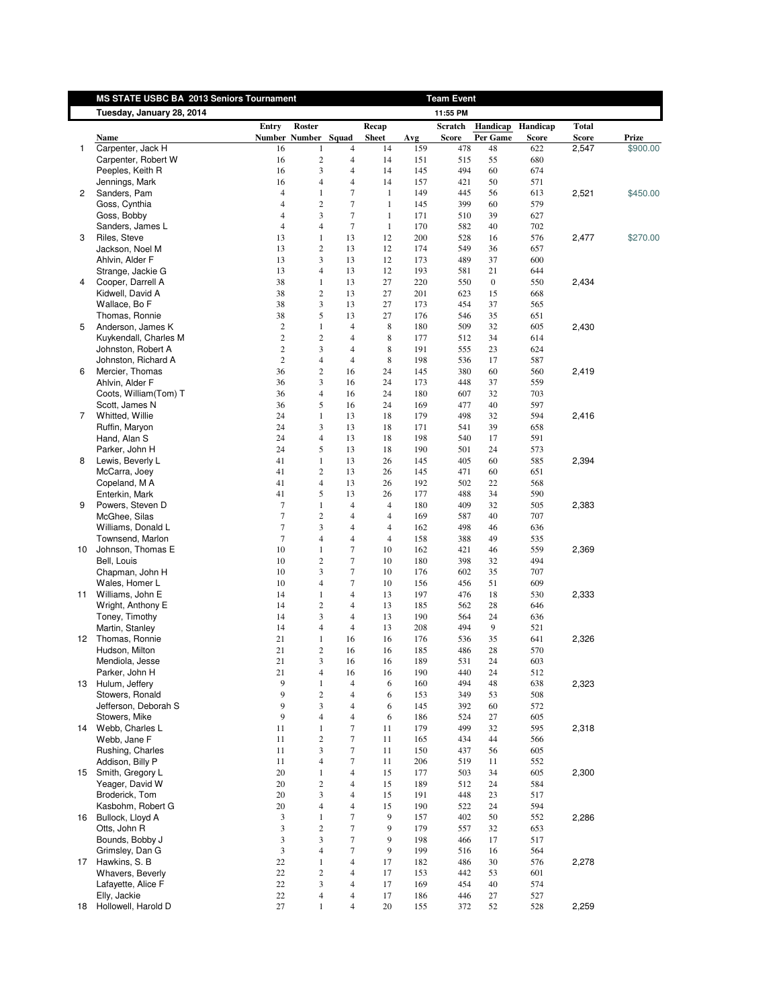<span id="page-6-0"></span>

|    | MS STATE USBC BA 2013 Seniors Tournament |                |                         |                |                |     | <b>Team Event</b> |                  |          |              |          |
|----|------------------------------------------|----------------|-------------------------|----------------|----------------|-----|-------------------|------------------|----------|--------------|----------|
|    | Tuesday, January 28, 2014                |                |                         |                |                |     | 11:55 PM          |                  |          |              |          |
|    |                                          | Entry          | Roster                  |                | Recap          |     | Scratch           | Handicap         | Handicap | <b>Total</b> |          |
|    | Name                                     |                | Number Number Squad     |                | <b>Sheet</b>   | Avg | Score             | Per Game         | Score    | <b>Score</b> | Prize    |
| 1  | Carpenter, Jack H                        | 16             | 1                       | $\overline{4}$ | 14             | 159 | 478               | 48               | 622      | 2,547        | \$900.00 |
|    | Carpenter, Robert W                      | 16             | $\overline{\mathbf{c}}$ | 4              | 14             | 151 | 515               | 55               | 680      |              |          |
|    | Peeples, Keith R                         | 16             | 3                       | 4              | 14             | 145 | 494               | 60               | 674      |              |          |
|    | Jennings, Mark                           | 16             | 4                       | $\overline{4}$ | 14             | 157 | 421               | 50               | 571      |              |          |
| 2  | Sanders, Pam                             | $\overline{4}$ | $\mathbf{1}$            | 7              | $\mathbf{1}$   | 149 | 445               | 56               | 613      | 2,521        | \$450.00 |
|    | Goss, Cynthia                            | $\overline{4}$ | $\overline{2}$          | 7              | $\mathbf{1}$   | 145 | 399               | 60               | 579      |              |          |
|    | Goss, Bobby                              | $\overline{4}$ | 3                       | $\tau$         | $\mathbf{1}$   | 171 | 510               | 39               | 627      |              |          |
|    | Sanders, James L                         | $\overline{4}$ | $\overline{4}$          | $\tau$         | $\mathbf{1}$   | 170 | 582               | 40               | 702      |              |          |
| 3  | Riles, Steve                             | 13             | 1                       | 13             | 12             | 200 | 528               | 16               | 576      | 2,477        | \$270.00 |
|    | Jackson, Noel M                          | 13             | $\overline{c}$          | 13             | 12             | 174 | 549               | 36               | 657      |              |          |
|    | Ahlvin, Alder F                          | 13             | 3                       | 13             | 12             | 173 | 489               | 37               | 600      |              |          |
|    | Strange, Jackie G                        | 13             | 4                       | 13             | 12             | 193 | 581               | 21               | 644      |              |          |
| 4  | Cooper, Darrell A                        | 38             | $\mathbf{1}$            | 13             | 27             | 220 | 550               | $\boldsymbol{0}$ | 550      | 2,434        |          |
|    | Kidwell, David A                         | 38             | $\sqrt{2}$              | 13             | 27             | 201 | 623               | 15               | 668      |              |          |
|    | Wallace, Bo F                            | 38             | 3                       | 13             | 27             | 173 | 454               | 37               | 565      |              |          |
|    | Thomas, Ronnie                           | 38             | 5                       | 13             | 27             | 176 | 546               | 35               | 651      |              |          |
| 5  | Anderson, James K                        | $\overline{2}$ | $\mathbf{1}$            | $\overline{4}$ | 8              | 180 | 509               | 32               | 605      | 2,430        |          |
|    | Kuykendall, Charles M                    | $\overline{2}$ | $\overline{c}$          | $\overline{4}$ | 8              | 177 | 512               | 34               | 614      |              |          |
|    | Johnston, Robert A                       | $\sqrt{2}$     | 3                       | $\overline{4}$ | 8              | 191 | 555               | 23               | 624      |              |          |
|    | Johnston, Richard A                      | 2              | 4                       | $\overline{4}$ | 8              | 198 | 536               | 17               | 587      |              |          |
| 6  | Mercier, Thomas                          | 36             | $\overline{c}$          | 16             | 24             | 145 | 380               | 60               | 560      | 2,419        |          |
|    | Ahlvin, Alder F                          | 36             | 3                       | 16             | 24             | 173 | 448               | 37               | 559      |              |          |
|    | Coots, William(Tom) T                    | 36             | 4                       | 16             | 24             | 180 | 607               | 32               | 703      |              |          |
|    | Scott, James N                           | 36             | 5                       | 16             | 24             | 169 | 477               | 40               | 597      |              |          |
| 7  | Whitted, Willie                          | 24             | $\mathbf{1}$            | 13             | 18             | 179 | 498               | 32               | 594      | 2,416        |          |
|    | Ruffin, Maryon                           | 24             | 3                       | 13             | 18             | 171 | 541               | 39               | 658      |              |          |
|    | Hand, Alan S                             | 24             | $\overline{4}$          | 13             | 18             | 198 | 540               | 17               | 591      |              |          |
|    | Parker, John H                           | 24             | 5                       | 13             | 18             | 190 | 501               | 24               | 573      |              |          |
| 8  | Lewis, Beverly L                         | 41             | $\mathbf{1}$            | 13             | 26             | 145 | 405               | 60               | 585      | 2,394        |          |
|    | McCarra, Joey                            | 41             | $\overline{c}$          | 13             | 26             | 145 | 471               | 60               | 651      |              |          |
|    | Copeland, M A                            | 41             | 4                       | 13             | 26             | 192 | 502               | 22               | 568      |              |          |
|    | Enterkin, Mark                           | 41             | 5                       | 13             | 26             | 177 | 488               | 34               | 590      |              |          |
| 9  | Powers, Steven D                         | $\overline{7}$ | $\mathbf{1}$            | $\overline{4}$ | $\overline{4}$ | 180 | 409               | 32               | 505      | 2,383        |          |
|    | McGhee, Silas                            | $\tau$         | $\overline{c}$          | $\overline{4}$ | $\overline{4}$ | 169 | 587               | 40               | 707      |              |          |
|    | Williams, Donald L                       | $\tau$         | 3                       | 4              | $\overline{4}$ | 162 | 498               | 46               | 636      |              |          |
|    | Townsend, Marlon                         | $\overline{7}$ | $\overline{4}$          | $\overline{4}$ | $\overline{4}$ | 158 | 388               | 49               | 535      |              |          |
| 10 | Johnson, Thomas E                        | 10             | 1                       | $\tau$         | 10             | 162 | 421               | 46               | 559      | 2,369        |          |
|    | Bell, Louis                              | 10             | $\overline{c}$          | $\tau$         | 10             | 180 | 398               | 32               | 494      |              |          |
|    | Chapman, John H                          | 10             | 3                       | 7              | 10             | 176 | 602               | 35               | 707      |              |          |
|    | Wales, Homer L                           | 10             | 4                       | $\tau$         | 10             | 156 | 456               | 51               | 609      |              |          |
|    | 11 Williams, John E                      | 14             | $\mathbf{1}$            | $\overline{4}$ | 13             | 197 | 476               | 18               | 530      | 2,333        |          |
|    | Wright, Anthony E                        | 14             | $\sqrt{2}$              | $\overline{4}$ | 13             | 185 | 562               | 28               | 646      |              |          |
|    | Toney, Timothy                           | 14             | 3                       | $\overline{4}$ | 13             | 190 | 564               | 24               | 636      |              |          |
|    | Martin, Stanley                          | 14             | 4                       | $\overline{4}$ | 13             | 208 | 494               | 9                | 521      |              |          |
| 12 | Thomas, Ronnie                           | 21             | $\mathbf{1}$            | 16             | 16             | 176 | 536               | 35               | 641      | 2,326        |          |
|    | Hudson, Milton                           | 21             | $\overline{c}$          | 16             | 16             | 185 | 486               | 28               | 570      |              |          |
|    | Mendiola, Jesse                          | 21             | $\mathbf{3}$            | 16             | 16             | 189 | 531               | 24               | 603      |              |          |
|    | Parker, John H                           | $21\,$         | 4                       | 16             | 16             | 190 | 440               | 24               | 512      |              |          |
|    | 13 Hulum, Jeffery                        | 9              | 1                       | $\overline{4}$ | 6              | 160 | 494               | 48               | 638      | 2,323        |          |
|    | Stowers, Ronald                          | 9              | $\overline{c}$          | $\overline{4}$ | 6              | 153 | 349               | 53               | 508      |              |          |
|    | Jefferson, Deborah S                     | 9              | 3                       | 4              | 6              | 145 | 392               | 60               | 572      |              |          |
|    | Stowers, Mike                            | 9              | $\overline{4}$          | $\overline{4}$ | 6              | 186 | 524               | 27               | 605      |              |          |
|    | 14 Webb, Charles L                       | 11             | $\mathbf{1}$            | 7              | 11             | 179 | 499               | 32               | 595      | 2,318        |          |
|    | Webb, Jane F                             | 11             | $\overline{c}$          | $\tau$         | 11             | 165 | 434               | 44               | 566      |              |          |
|    | Rushing, Charles                         | 11             | 3                       | 7              | 11             | 150 | 437               | 56               | 605      |              |          |
|    | Addison, Billy P                         | 11             | 4                       | 7              | 11             | 206 | 519               | 11               | 552      |              |          |
|    |                                          |                |                         |                |                |     |                   |                  |          |              |          |
|    | 15 Smith, Gregory L                      | 20             | 1                       | 4              | 15             | 177 | 503               | 34               | 605      | 2,300        |          |
|    | Yeager, David W                          | 20             | $\overline{c}$          | $\overline{4}$ | 15             | 189 | 512               | 24               | 584      |              |          |
|    | Broderick, Tom                           | 20             | 3                       | $\overline{4}$ | 15             | 191 | 448               | 23               | 517      |              |          |
|    | Kasbohm, Robert G                        | 20             | 4                       | $\overline{4}$ | 15             | 190 | 522               | 24               | 594      |              |          |
|    | 16 Bullock, Lloyd A                      | 3              | $\mathbf{1}$            | $\tau$         | 9              | 157 | 402               | 50               | 552      | 2,286        |          |
|    | Otts, John R                             | 3              | $\boldsymbol{2}$        | $\tau$         | 9              | 179 | 557               | 32               | 653      |              |          |
|    | Bounds, Bobby J                          | 3              | 3                       | $\tau$         | 9              | 198 | 466               | 17               | 517      |              |          |
|    | Grimsley, Dan G                          | 3              | $\overline{4}$          | 7              | 9              | 199 | 516               | 16               | 564      |              |          |
| 17 | Hawkins, S. B                            | 22             | $\mathbf{1}$            | 4              | 17             | 182 | 486               | 30               | 576      | 2,278        |          |
|    | <b>Whavers, Beverly</b>                  | 22             | $\sqrt{2}$              | $\overline{4}$ | 17             | 153 | 442               | 53               | 601      |              |          |
|    | Lafayette, Alice F                       | 22             | 3                       | 4              | 17             | 169 | 454               | 40               | 574      |              |          |
|    | Elly, Jackie                             | $22\,$         | 4                       | $\overline{4}$ | 17             | 186 | 446               | 27               | 527      |              |          |
|    | 18 Hollowell, Harold D                   | 27             | $\mathbf{1}$            | $\overline{4}$ | 20             | 155 | 372               | 52               | 528      | 2,259        |          |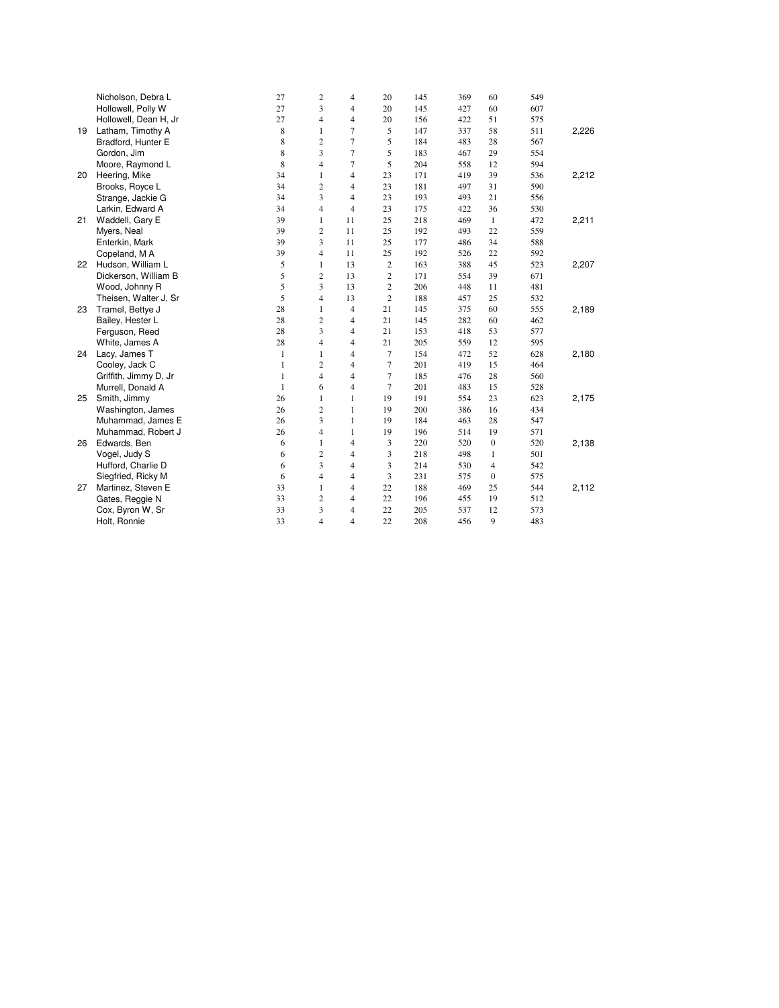|    | Nicholson, Debra L    | 27           | $\overline{2}$ | $\overline{4}$ | 20             | 145 | 369 | 60               | 549 |       |
|----|-----------------------|--------------|----------------|----------------|----------------|-----|-----|------------------|-----|-------|
|    | Hollowell, Polly W    | 27           | 3              | $\overline{4}$ | 20             | 145 | 427 | 60               | 607 |       |
|    | Hollowell, Dean H, Jr | 27           | $\overline{4}$ | $\overline{4}$ | 20             | 156 | 422 | 51               | 575 |       |
| 19 | Latham, Timothy A     | 8            | $\mathbf{1}$   | 7              | 5              | 147 | 337 | 58               | 511 | 2,226 |
|    | Bradford, Hunter E    | 8            | $\overline{c}$ | $\overline{7}$ | 5              | 184 | 483 | 28               | 567 |       |
|    | Gordon, Jim           | 8            | 3              | 7              | 5              | 183 | 467 | 29               | 554 |       |
|    | Moore, Raymond L      | 8            | $\overline{4}$ | 7              | 5              | 204 | 558 | 12               | 594 |       |
| 20 | Heering, Mike         | 34           | $\mathbf{1}$   | $\overline{4}$ | 23             | 171 | 419 | 39               | 536 | 2,212 |
|    | Brooks, Royce L       | 34           | $\overline{c}$ | $\overline{4}$ | 23             | 181 | 497 | 31               | 590 |       |
|    | Strange, Jackie G     | 34           | 3              | $\overline{4}$ | 23             | 193 | 493 | 21               | 556 |       |
|    | Larkin, Edward A      | 34           | $\overline{4}$ | $\overline{4}$ | 23             | 175 | 422 | 36               | 530 |       |
| 21 | Waddell, Gary E       | 39           | $\mathbf{1}$   | 11             | 25             | 218 | 469 | $\mathbf{1}$     | 472 | 2,211 |
|    | Myers, Neal           | 39           | $\overline{c}$ | 11             | 25             | 192 | 493 | 22               | 559 |       |
|    | Enterkin, Mark        | 39           | 3              | 11             | 25             | 177 | 486 | 34               | 588 |       |
|    | Copeland, M A         | 39           | $\overline{4}$ | 11             | 25             | 192 | 526 | 22               | 592 |       |
| 22 | Hudson, William L     | 5            | $\mathbf{1}$   | 13             | $\overline{c}$ | 163 | 388 | 45               | 523 | 2,207 |
|    | Dickerson, William B  | 5            | $\overline{c}$ | 13             | $\overline{c}$ | 171 | 554 | 39               | 671 |       |
|    | Wood, Johnny R        | 5            | 3              | 13             | $\overline{c}$ | 206 | 448 | 11               | 481 |       |
|    | Theisen, Walter J, Sr | 5            | $\overline{4}$ | 13             | $\overline{2}$ | 188 | 457 | 25               | 532 |       |
| 23 | Tramel, Bettye J      | 28           | $\mathbf{1}$   | $\overline{4}$ | 21             | 145 | 375 | 60               | 555 | 2,189 |
|    | Bailey, Hester L      | 28           | $\overline{c}$ | $\overline{4}$ | 21             | 145 | 282 | 60               | 462 |       |
|    | Ferguson, Reed        | 28           | 3              | $\overline{4}$ | 21             | 153 | 418 | 53               | 577 |       |
|    | White, James A        | 28           | $\overline{4}$ | $\overline{4}$ | 21             | 205 | 559 | 12               | 595 |       |
| 24 | Lacy, James T         | 1            | $\mathbf{1}$   | $\overline{4}$ | 7              | 154 | 472 | 52               | 628 | 2,180 |
|    | Cooley, Jack C        | $\mathbf{1}$ | $\overline{c}$ | $\overline{4}$ | 7              | 201 | 419 | 15               | 464 |       |
|    | Griffith, Jimmy D, Jr | $\mathbf{1}$ | $\overline{4}$ | $\overline{4}$ | 7              | 185 | 476 | 28               | 560 |       |
|    | Murrell, Donald A     | $\mathbf{1}$ | 6              | $\overline{4}$ | 7              | 201 | 483 | 15               | 528 |       |
| 25 | Smith, Jimmy          | 26           | $\mathbf{1}$   | $\mathbf{1}$   | 19             | 191 | 554 | 23               | 623 | 2,175 |
|    | Washington, James     | 26           | $\overline{2}$ | $\mathbf{1}$   | 19             | 200 | 386 | 16               | 434 |       |
|    | Muhammad, James E     | 26           | 3              | $\mathbf{1}$   | 19             | 184 | 463 | 28               | 547 |       |
|    | Muhammad, Robert J    | 26           | $\overline{4}$ | $\mathbf{1}$   | 19             | 196 | 514 | 19               | 571 |       |
| 26 | Edwards, Ben          | 6            | $\mathbf{1}$   | $\overline{4}$ | 3              | 220 | 520 | $\boldsymbol{0}$ | 520 | 2,138 |
|    | Vogel, Judy S         | 6            | $\overline{c}$ | $\overline{4}$ | 3              | 218 | 498 | 1                | 501 |       |
|    | Hufford, Charlie D    | 6            | 3              | $\overline{4}$ | 3              | 214 | 530 | $\overline{4}$   | 542 |       |
|    | Siegfried, Ricky M    | 6            | $\overline{4}$ | $\overline{4}$ | 3              | 231 | 575 | $\boldsymbol{0}$ | 575 |       |
| 27 | Martinez, Steven E    | 33           | $\mathbf{1}$   | $\overline{4}$ | 22             | 188 | 469 | 25               | 544 | 2,112 |
|    | Gates, Reggie N       | 33           | $\overline{c}$ | $\overline{4}$ | 22             | 196 | 455 | 19               | 512 |       |
|    | Cox, Byron W, Sr      | 33           | 3              | $\overline{4}$ | 22             | 205 | 537 | 12               | 573 |       |
|    | Holt, Ronnie          | 33           | $\overline{4}$ | $\overline{4}$ | 22             | 208 | 456 | 9                | 483 |       |
|    |                       |              |                |                |                |     |     |                  |     |       |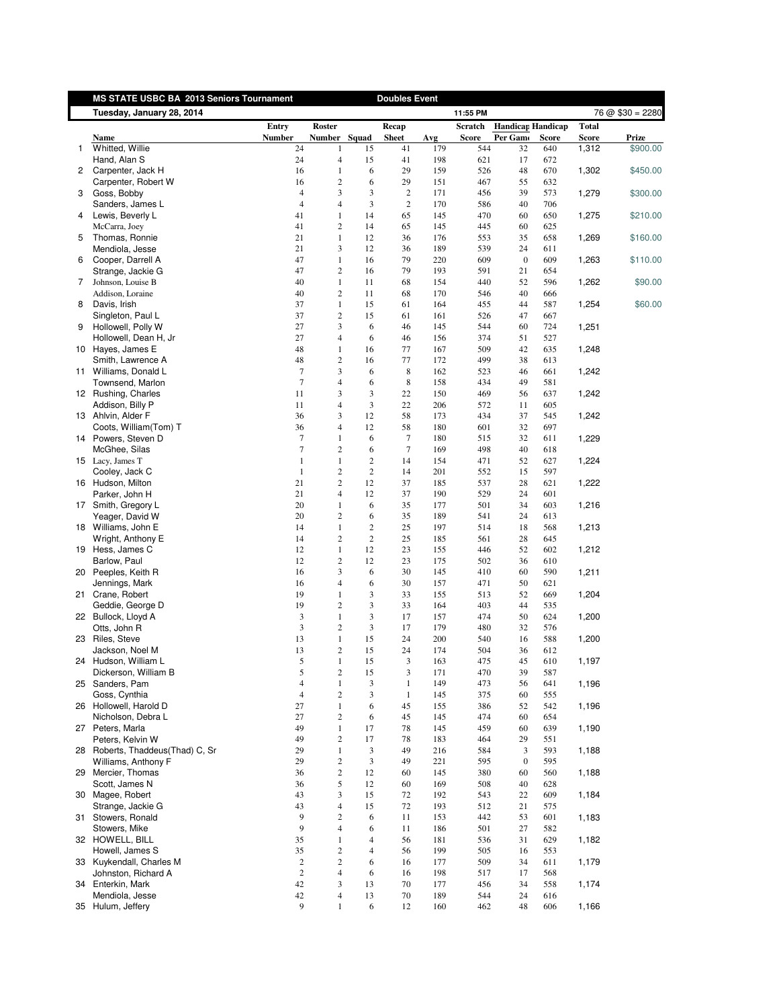<span id="page-8-0"></span>

|              | MS STATE USBC BA 2013 Seniors Tournament |                  |                         |                | <b>Doubles Event</b> |            |              |                          |              |              |                   |
|--------------|------------------------------------------|------------------|-------------------------|----------------|----------------------|------------|--------------|--------------------------|--------------|--------------|-------------------|
|              | Tuesday, January 28, 2014                |                  |                         |                |                      |            | 11:55 PM     |                          |              |              | $76 @ $30 = 2280$ |
|              |                                          | Entry            | Roster                  |                | Recap                |            | Scratch      | <b>Handicap Handicap</b> |              | <b>Total</b> |                   |
|              | Name                                     | <b>Number</b>    | Number Squad            |                | <b>Sheet</b>         | Avg        | <b>Score</b> | Per Gamo                 | <b>Score</b> | Score        | Prize             |
| $\mathbf{1}$ | Whitted, Willie                          | 24               | $\mathbf{1}$            | 15             | 41                   | 179        | 544          | 32                       | 640          | 1,312        | \$900.00          |
|              | Hand, Alan S                             | 24               | $\overline{4}$          | 15             | 41                   | 198        | 621          | 17                       | 672          |              |                   |
| $^{2}$       | Carpenter, Jack H                        | 16               | $\mathbf{1}$            | 6              | 29                   | 159        | 526          | 48                       | 670          | 1,302        | \$450.00          |
|              | Carpenter, Robert W                      | 16               | $\overline{c}$          | 6              | 29                   | 151        | 467          | 55                       | 632          |              |                   |
| 3            | Goss, Bobby                              | $\overline{4}$   | 3                       | 3              | $\sqrt{2}$           | 171        | 456          | 39                       | 573          | 1,279        | \$300.00          |
|              | Sanders, James L                         | $\overline{4}$   | 4                       | 3              | $\overline{2}$       | 170        | 586          | 40                       | 706          |              |                   |
| 4            | Lewis, Beverly L                         | 41               | $\mathbf{1}$            | 14             | 65                   | 145        | 470          | 60                       | 650          | 1,275        | \$210.00          |
|              | McCarra, Joey                            | 41               | $\overline{c}$          | 14             | 65                   | 145        | 445          | 60                       | 625          |              |                   |
| 5            | Thomas, Ronnie                           | 21               | $\mathbf{1}$            | 12             | 36                   | 176        | 553          | 35                       | 658          | 1,269        | \$160.00          |
| 6            | Mendiola, Jesse<br>Cooper, Darrell A     | 21<br>47         | 3<br>$\mathbf{1}$       | 12<br>16       | 36<br>79             | 189<br>220 | 539<br>609   | 24<br>$\boldsymbol{0}$   | 611<br>609   | 1,263        | \$110.00          |
|              | Strange, Jackie G                        | 47               | $\mathbf{2}$            | 16             | 79                   | 193        | 591          | 21                       | 654          |              |                   |
| 7            | Johnson, Louise B                        | 40               | $\mathbf{1}$            | 11             | 68                   | 154        | 440          | 52                       | 596          | 1,262        | \$90.00           |
|              | Addison, Loraine                         | 40               | $\overline{c}$          | 11             | 68                   | 170        | 546          | 40                       | 666          |              |                   |
| 8            | Davis, Irish                             | 37               | $\mathbf{1}$            | 15             | 61                   | 164        | 455          | 44                       | 587          | 1,254        | \$60.00           |
|              | Singleton, Paul L                        | 37               | $\boldsymbol{2}$        | 15             | 61                   | 161        | 526          | 47                       | 667          |              |                   |
| 9            | Hollowell, Polly W                       | 27               | 3                       | 6              | 46                   | 145        | 544          | 60                       | 724          | 1,251        |                   |
|              | Hollowell, Dean H, Jr                    | 27               | 4                       | 6              | 46                   | 156        | 374          | 51                       | 527          |              |                   |
|              | 10 Hayes, James E                        | 48               | $\mathbf{1}$            | 16             | 77                   | 167        | 509          | 42                       | 635          | 1,248        |                   |
|              | Smith, Lawrence A                        | 48               | $\overline{c}$          | 16             | 77                   | 172        | 499          | 38                       | 613          |              |                   |
|              | 11 Williams, Donald L                    | $\tau$           | 3                       | 6              | 8                    | 162        | 523          | 46                       | 661          | 1,242        |                   |
|              | Townsend, Marlon                         | $\tau$           | $\overline{4}$          | 6              | 8                    | 158        | 434          | 49                       | 581          |              |                   |
|              | 12 Rushing, Charles                      | 11               | 3                       | 3              | 22                   | 150        | 469          | 56                       | 637          | 1,242        |                   |
|              | Addison, Billy P                         | 11               | $\overline{4}$          | 3              | 22                   | 206        | 572          | 11                       | 605          |              |                   |
|              | 13 Ahlvin, Alder F                       | 36               | 3                       | 12             | 58                   | 173        | 434          | 37                       | 545          | 1,242        |                   |
|              | Coots, William(Tom) T                    | 36               | 4                       | 12             | 58                   | 180        | 601          | 32                       | 697          |              |                   |
|              | 14 Powers, Steven D                      | $\tau$           | $\mathbf{1}$            | 6              | 7                    | 180        | 515          | 32                       | 611          | 1,229        |                   |
|              | McGhee, Silas                            | 7                | $\overline{c}$          | 6              | $\tau$               | 169        | 498          | 40                       | 618          |              |                   |
|              | 15 Lacy, James T                         | $\mathbf{1}$     | $\mathbf{1}$            | $\overline{c}$ | 14                   | 154        | 471          | 52                       | 627          | 1,224        |                   |
|              | Cooley, Jack C                           | $\mathbf{1}$     | $\sqrt{2}$              | $\sqrt{2}$     | 14                   | 201        | 552          | 15                       | 597          |              |                   |
|              | 16 Hudson, Milton                        | 21               | $\overline{c}$          | 12             | 37                   | 185        | 537          | 28                       | 621          | 1,222        |                   |
|              | Parker, John H                           | 21               | 4                       | 12             | 37                   | 190        | 529          | 24                       | 601          |              |                   |
|              | 17 Smith, Gregory L                      | 20               | $\mathbf{1}$            | 6              | 35                   | 177        | 501          | 34                       | 603          | 1,216        |                   |
|              | Yeager, David W                          | 20               | $\overline{c}$          | 6              | 35                   | 189        | 541          | 24                       | 613          |              |                   |
|              | 18 Williams, John E                      | 14               | $\mathbf{1}$            | $\overline{c}$ | 25                   | 197        | 514          | 18                       | 568          | 1,213        |                   |
|              | Wright, Anthony E                        | 14               | $\overline{\mathbf{c}}$ | $\sqrt{2}$     | 25                   | 185        | 561          | 28                       | 645          |              |                   |
|              | 19 Hess, James C                         | 12               | $\mathbf{1}$            | 12             | 23                   | 155        | 446          | 52                       | 602          | 1,212        |                   |
|              | Barlow, Paul                             | 12               | $\sqrt{2}$              | 12             | 23                   | 175        | 502          | 36                       | 610          |              |                   |
|              | 20 Peeples, Keith R                      | 16<br>16         | 3<br>4                  | 6<br>6         | 30<br>30             | 145<br>157 | 410<br>471   | 60<br>50                 | 590<br>621   | 1,211        |                   |
| 21           | Jennings, Mark<br>Crane, Robert          | 19               | $\mathbf{1}$            | 3              | 33                   | 155        | 513          | 52                       | 669          | 1,204        |                   |
|              | Geddie, George D                         | 19               | $\sqrt{2}$              | 3              | 33                   | 164        | 403          | 44                       | 535          |              |                   |
|              | 22 Bullock, Lloyd A                      | $\mathfrak z$    | $\mathbf{1}$            | 3              | 17                   | 157        | 474          | 50                       | 624          | 1,200        |                   |
|              | Otts, John R                             | $\mathfrak{Z}$   | $\overline{c}$          | 3              | 17                   | 179        | 480          | 32                       | 576          |              |                   |
|              | 23 Riles, Steve                          | 13               | $\mathbf{1}$            | 15             | 24                   | 200        | 540          | 16                       | 588          | 1,200        |                   |
|              | Jackson, Noel M                          | 13               | $\mathbf{2}$            | 15             | 24                   | 174        | 504          | 36                       | 612          |              |                   |
|              | 24 Hudson, William L                     | 5                | -1                      | 15             | 3                    | 163        | 475          | 45                       | 610          | 1.197        |                   |
|              | Dickerson, William B                     | 5                | $\sqrt{2}$              | 15             | $\mathfrak{Z}$       | 171        | 470          | 39                       | 587          |              |                   |
|              | 25 Sanders, Pam                          | $\overline{4}$   | $\mathbf{1}$            | 3              | $\mathbf{1}$         | 149        | 473          | 56                       | 641          | 1,196        |                   |
|              | Goss, Cynthia                            | $\overline{4}$   | $\sqrt{2}$              | 3              | $\mathbf{1}$         | 145        | 375          | 60                       | 555          |              |                   |
|              | 26 Hollowell, Harold D                   | 27               | $\mathbf{1}$            | 6              | 45                   | 155        | 386          | 52                       | 542          | 1,196        |                   |
|              | Nicholson, Debra L                       | 27               | $\overline{2}$          | 6              | 45                   | 145        | 474          | 60                       | 654          |              |                   |
|              | 27 Peters, Marla                         | 49               | $\mathbf{1}$            | 17             | 78                   | 145        | 459          | 60                       | 639          | 1,190        |                   |
|              | Peters, Kelvin W                         | 49               | 2                       | 17             | 78                   | 183        | 464          | 29                       | 551          |              |                   |
|              | 28 Roberts, Thaddeus(Thad) C, Sr         | 29               | $\mathbf{1}$            | 3              | 49                   | 216        | 584          | $\mathfrak{Z}$           | 593          | 1,188        |                   |
|              | Williams, Anthony F                      | 29               | $\sqrt{2}$              | 3              | 49                   | 221        | 595          | $\boldsymbol{0}$         | 595          |              |                   |
|              | 29 Mercier, Thomas                       | 36               | $\mathbf{2}$            | 12             | 60                   | 145        | 380          | 60                       | 560          | 1,188        |                   |
|              | Scott, James N                           | 36               | 5                       | 12             | 60                   | 169        | 508          | 40                       | 628          |              |                   |
|              | 30 Magee, Robert                         | 43               | 3                       | 15             | 72                   | 192        | 543          | 22                       | 609          | 1,184        |                   |
|              | Strange, Jackie G                        | 43               | $\overline{4}$          | 15             | 72                   | 193        | 512          | 21                       | 575          |              |                   |
|              | 31 Stowers, Ronald                       | 9                | $\overline{c}$          | 6              | 11                   | 153        | 442          | 53                       | 601          | 1,183        |                   |
|              | Stowers, Mike                            | 9                | $\overline{4}$          | 6              | 11                   | 186        | 501          | 27                       | 582          |              |                   |
|              | 32 HOWELL, BILL                          | 35               | $\mathbf{1}$            | $\overline{4}$ | 56                   | 181        | 536          | 31                       | 629          | 1,182        |                   |
|              | Howell, James S                          | 35               | $\sqrt{2}$              | $\overline{4}$ | 56                   | 199        | 505          | 16                       | 553          |              |                   |
|              | 33 Kuykendall, Charles M                 | $\boldsymbol{2}$ | $\mathbf{2}$            | 6              | 16                   | 177        | 509          | 34                       | 611          | 1,179        |                   |
|              | Johnston, Richard A                      | $\sqrt{2}$       | $\overline{4}$          | 6              | 16                   | 198        | 517          | 17                       | 568          |              |                   |
|              | 34 Enterkin, Mark                        | 42               | 3                       | 13             | 70                   | 177        | 456          | 34                       | 558          | 1,174        |                   |
|              | Mendiola, Jesse                          | 42               | $\overline{4}$          | 13             | 70                   | 189        | 544          | 24                       | 616          |              |                   |
|              | 35 Hulum, Jeffery                        | 9                | $\,1$                   | 6              | 12                   | 160        | 462          | 48                       | 606          | 1,166        |                   |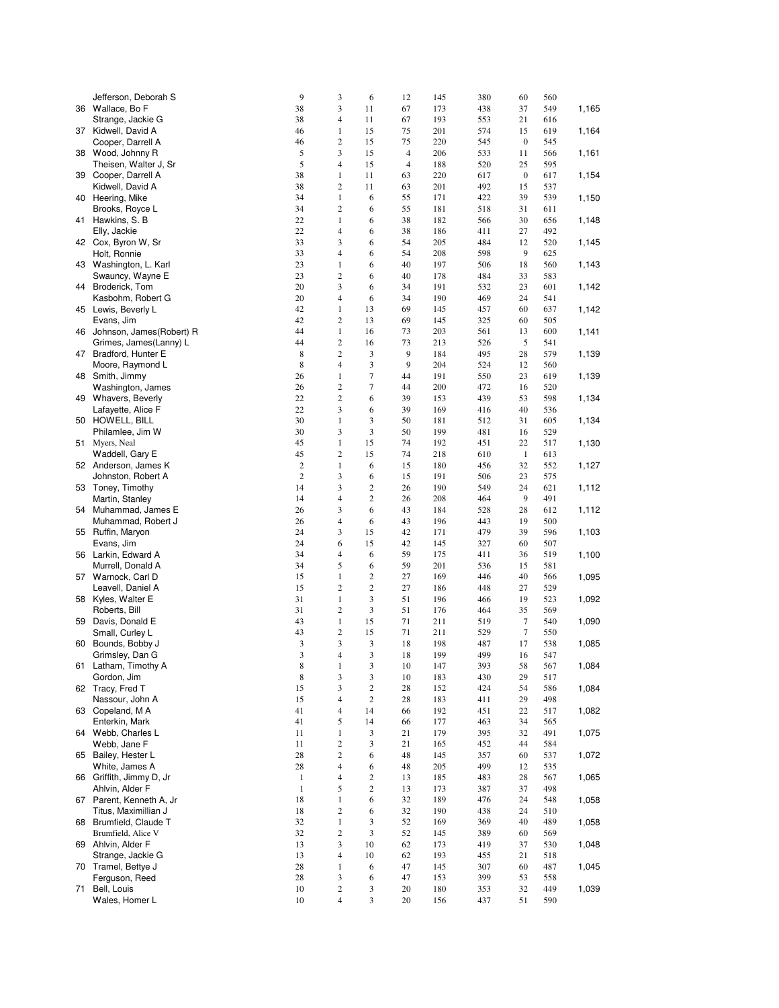|    | Jefferson, Deborah S         | 9              | 3                | 6                       | 12                       | 145 | 380 | 60               | 560 |       |
|----|------------------------------|----------------|------------------|-------------------------|--------------------------|-----|-----|------------------|-----|-------|
|    | 36 Wallace, Bo F             | 38             | 3                | 11                      | 67                       | 173 | 438 | 37               | 549 | 1,165 |
|    | Strange, Jackie G            | 38             | 4                | 11                      | 67                       | 193 | 553 | 21               | 616 |       |
|    | 37 Kidwell, David A          | 46             | $\mathbf{1}$     | 15                      | 75                       | 201 | 574 | 15               | 619 | 1,164 |
|    | Cooper, Darrell A            | 46             | 2                | 15                      | 75                       | 220 | 545 | $\mathbf{0}$     | 545 |       |
|    | 38 Wood, Johnny R            | 5              | 3                | 15                      | $\overline{\mathcal{A}}$ | 206 | 533 | 11               | 566 | 1,161 |
|    | Theisen, Walter J, Sr        | 5              | $\overline{4}$   | 15                      | $\overline{4}$           | 188 | 520 | 25               | 595 |       |
|    | 39 Cooper, Darrell A         | 38             | $\mathbf{1}$     | 11                      | 63                       | 220 | 617 | $\boldsymbol{0}$ | 617 | 1,154 |
|    |                              | 38             | 2                | 11                      | 63                       | 201 | 492 | 15               | 537 |       |
|    | Kidwell, David A             |                |                  |                         |                          |     |     |                  |     |       |
|    | 40 Heering, Mike             | 34             | $\mathbf{1}$     | 6                       | 55                       | 171 | 422 | 39               | 539 | 1,150 |
|    | Brooks, Royce L              | 34             | $\overline{c}$   | 6                       | 55                       | 181 | 518 | 31               | 611 |       |
|    | 41 Hawkins, S. B             | 22             | $\mathbf{1}$     | 6                       | 38                       | 182 | 566 | 30               | 656 | 1,148 |
|    | Elly, Jackie                 | 22             | 4                | 6                       | 38                       | 186 | 411 | 27               | 492 |       |
|    | 42 Cox, Byron W, Sr          | 33             | 3                | 6                       | 54                       | 205 | 484 | 12               | 520 | 1,145 |
|    | Holt, Ronnie                 | 33             | 4                | 6                       | 54                       | 208 | 598 | 9                | 625 |       |
|    | 43 Washington, L. Karl       | 23             | $\mathbf{1}$     | 6                       | 40                       | 197 | 506 | 18               | 560 | 1,143 |
|    | Swauncy, Wayne E             | 23             | 2                | 6                       | 40                       | 178 | 484 | 33               | 583 |       |
| 44 | Broderick, Tom               | 20             | 3                | 6                       | 34                       | 191 | 532 | 23               | 601 | 1,142 |
|    | Kasbohm, Robert G            | 20             | $\overline{4}$   | 6                       | 34                       | 190 | 469 | 24               | 541 |       |
|    | 45 Lewis, Beverly L          | 42             | $\mathbf{1}$     | 13                      | 69                       | 145 | 457 | 60               | 637 | 1,142 |
|    | Evans, Jim                   | 42             | 2                | 13                      | 69                       | 145 | 325 | 60               | 505 |       |
|    | 46 Johnson, James (Robert) R | 44             | $\mathbf{1}$     | 16                      | 73                       | 203 | 561 | 13               | 600 | 1,141 |
|    | Grimes, James(Lanny) L       | 44             | $\overline{c}$   | 16                      | 73                       | 213 | 526 | 5                | 541 |       |
|    | 47 Bradford, Hunter E        | 8              | $\overline{c}$   | 3                       | 9                        | 184 | 495 | 28               | 579 | 1,139 |
|    | Moore, Raymond L             | 8              | 4                | 3                       | 9                        | 204 | 524 | 12               | 560 |       |
|    | 48 Smith, Jimmy              | 26             | $\mathbf{1}$     | 7                       | 44                       | 191 | 550 | 23               | 619 | 1,139 |
|    |                              | 26             | $\overline{c}$   | 7                       | 44                       | 200 | 472 | 16               | 520 |       |
|    | Washington, James            | 22             | $\overline{c}$   |                         |                          |     |     |                  |     |       |
|    | 49 Whavers, Beverly          |                |                  | 6                       | 39                       | 153 | 439 | 53               | 598 | 1,134 |
|    | Lafayette, Alice F           | 22             | 3                | 6                       | 39                       | 169 | 416 | 40               | 536 |       |
|    | 50 HOWELL, BILL              | 30             | $\mathbf{1}$     | 3                       | 50                       | 181 | 512 | 31               | 605 | 1,134 |
|    | Philamlee, Jim W             | 30             | 3                | 3                       | 50                       | 199 | 481 | 16               | 529 |       |
|    | 51 Myers, Neal               | 45             | $\mathbf{1}$     | 15                      | 74                       | 192 | 451 | 22               | 517 | 1,130 |
|    | Waddell, Gary E              | 45             | $\overline{c}$   | 15                      | 74                       | 218 | 610 | $\mathbf{1}$     | 613 |       |
|    | 52 Anderson, James K         | $\overline{c}$ | $\,1$            | 6                       | 15                       | 180 | 456 | 32               | 552 | 1,127 |
|    | Johnston, Robert A           | $\overline{c}$ | 3                | 6                       | 15                       | 191 | 506 | 23               | 575 |       |
|    | 53 Toney, Timothy            | 14             | 3                | $\overline{2}$          | 26                       | 190 | 549 | 24               | 621 | 1,112 |
|    | Martin, Stanley              | 14             | 4                | $\overline{c}$          | 26                       | 208 | 464 | 9                | 491 |       |
|    | 54 Muhammad, James E         | 26             | 3                | 6                       | 43                       | 184 | 528 | 28               | 612 | 1,112 |
|    | Muhammad, Robert J           | 26             | 4                | 6                       | 43                       | 196 | 443 | 19               | 500 |       |
| 55 | Ruffin, Maryon               | 24             | 3                | 15                      | 42                       | 171 | 479 | 39               | 596 | 1,103 |
|    | Evans, Jim                   | 24             | 6                | 15                      | 42                       | 145 | 327 | 60               | 507 |       |
|    | 56 Larkin, Edward A          | 34             | 4                | 6                       | 59                       | 175 | 411 | 36               | 519 |       |
|    |                              |                |                  |                         |                          |     |     |                  |     | 1,100 |
|    | Murrell, Donald A            | 34             | 5                | 6                       | 59                       | 201 | 536 | 15               | 581 |       |
|    | 57 Warnock, Carl D           | 15             | $\mathbf{1}$     | $\overline{\mathbf{c}}$ | 27                       | 169 | 446 | 40               | 566 | 1,095 |
|    | Leavell, Daniel A            | 15             | 2                | 2                       | 27                       | 186 | 448 | 27               | 529 |       |
|    | 58 Kyles, Walter E           | 31             | $\,1$            | 3                       | 51                       | 196 | 466 | 19               | 523 | 1,092 |
|    | Roberts, Bill                | 31             | 2                | 3                       | 51                       | 176 | 464 | 35               | 569 |       |
| 59 | Davis, Donald E              | 43             | $\,1$            | 15                      | 71                       | 211 | 519 | 7                | 540 | 1,090 |
|    | Small, Curley L              | 43             | $\boldsymbol{2}$ | 15                      | 71                       | 211 | 529 | 7                | 550 |       |
| 60 | Bounds, Bobby J              | 3              | 3                | 3                       | 18                       | 198 | 487 | 17               | 538 | 1,085 |
|    | Grimsley, Dan G              | 3              | 4                | 3                       | 18                       | 199 | 499 | 16               | 547 |       |
| 61 | Latham, Timothy A            | 8              | $\mathbf{1}$     | 3                       | 10                       | 147 | 393 | 58               | 567 | 1,084 |
|    | Gordon, Jim                  | $\,$ 8 $\,$    | 3                | 3                       | 10                       | 183 | 430 | 29               | 517 |       |
|    | 62 Tracy, Fred T             | 15             | 3                | $\sqrt{2}$              | 28                       | 152 | 424 | 54               | 586 | 1,084 |
|    | Nassour, John A              | 15             | 4                | $\sqrt{2}$              | 28                       | 183 | 411 | 29               | 498 |       |
|    | 63 Copeland, MA              | 41             | $\overline{4}$   | 14                      | 66                       | 192 | 451 | 22               | 517 | 1,082 |
|    | Enterkin, Mark               | 41             | 5                | 14                      | 66                       | 177 | 463 | 34               | 565 |       |
|    | 64 Webb, Charles L           | 11             | $\,1$            | 3                       | 21                       | 179 | 395 | 32               | 491 | 1,075 |
|    | Webb, Jane F                 | 11             | $\overline{c}$   | 3                       | 21                       | 165 | 452 | 44               | 584 |       |
|    | 65 Bailey, Hester L          | 28             | $\overline{c}$   | 6                       | 48                       | 145 | 357 | 60               | 537 | 1,072 |
|    | White, James A               | 28             | 4                | 6                       | 48                       | 205 | 499 | 12               | 535 |       |
|    | 66 Griffith, Jimmy D, Jr     |                | 4                |                         |                          |     |     |                  |     |       |
|    |                              | $\mathbf{1}$   |                  | $\boldsymbol{2}$        | 13                       | 185 | 483 | 28               | 567 | 1,065 |
|    | Ahlvin, Alder F              | $\mathbf{1}$   | 5                | $\boldsymbol{2}$        | 13                       | 173 | 387 | 37               | 498 |       |
|    | 67 Parent, Kenneth A, Jr     | 18             | $\,1$            | 6                       | 32                       | 189 | 476 | 24               | 548 | 1,058 |
|    | Titus, Maximillian J         | 18             | $\mathbf{2}$     | 6                       | 32                       | 190 | 438 | 24               | 510 |       |
| 68 | Brumfield, Claude T          | 32             | $\,1$            | 3                       | 52                       | 169 | 369 | 40               | 489 | 1,058 |
|    | Brumfield, Alice V           | 32             | $\overline{c}$   | 3                       | 52                       | 145 | 389 | 60               | 569 |       |
|    | 69 Ahlvin, Alder F           | 13             | 3                | 10                      | 62                       | 173 | 419 | 37               | 530 | 1,048 |
|    | Strange, Jackie G            | 13             | $\overline{4}$   | 10                      | 62                       | 193 | 455 | 21               | 518 |       |
|    | 70 Tramel, Bettye J          | 28             | $\,1$            | 6                       | 47                       | 145 | 307 | 60               | 487 | 1,045 |
|    | Ferguson, Reed               | 28             | 3                | 6                       | 47                       | 153 | 399 | 53               | 558 |       |
| 71 | Bell, Louis                  | 10             | $\mathbf{2}$     | 3                       | 20                       | 180 | 353 | 32               | 449 | 1,039 |
|    | Wales, Homer L               | 10             | 4                | 3                       | 20                       | 156 | 437 | 51               | 590 |       |
|    |                              |                |                  |                         |                          |     |     |                  |     |       |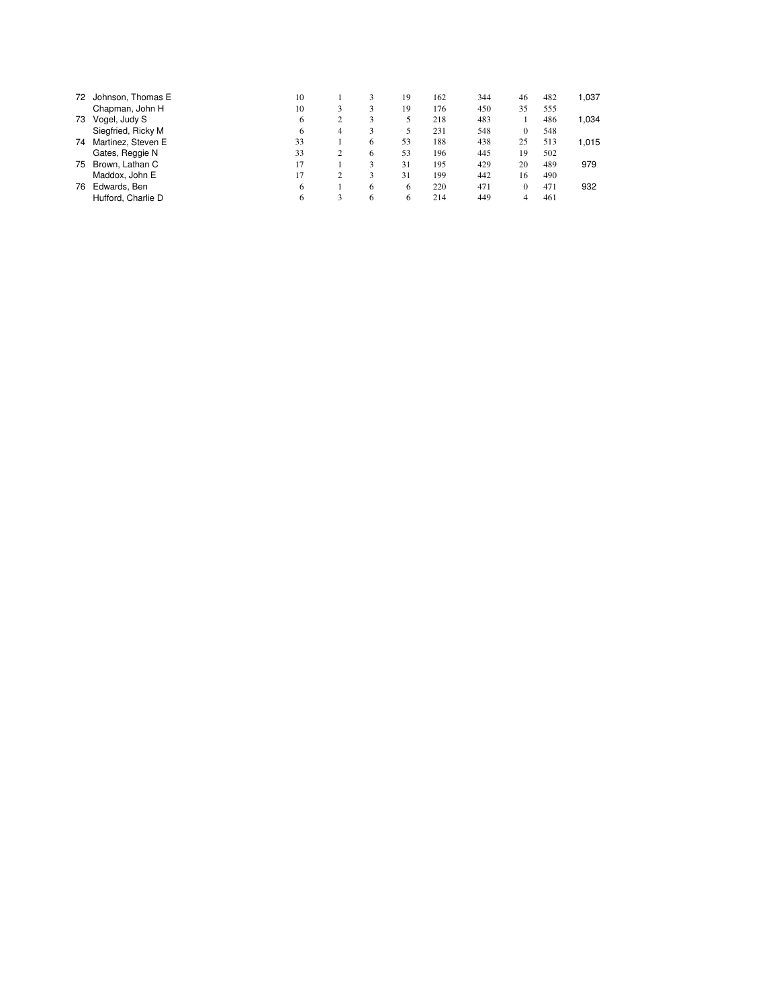| 72 | Johnson, Thomas E  | 10 |   | 3 | 19 | 162 | 344 | 46           | 482 | 1,037 |
|----|--------------------|----|---|---|----|-----|-----|--------------|-----|-------|
|    | Chapman, John H    | 10 | 3 |   | 19 | 176 | 450 | 35           | 555 |       |
| 73 | Vogel, Judy S      | 6  | 2 | 3 | 5  | 218 | 483 |              | 486 | 1,034 |
|    | Siegfried, Ricky M | 6  | 4 | 3 | 5  | 231 | 548 | $\mathbf{0}$ | 548 |       |
| 74 | Martinez, Steven E | 33 |   | 6 | 53 | 188 | 438 | 25           | 513 | 1,015 |
|    | Gates, Reggie N    | 33 | 2 | 6 | 53 | 196 | 445 | 19           | 502 |       |
| 75 | Brown, Lathan C    | 17 |   | 3 | 31 | 195 | 429 | 20           | 489 | 979   |
|    | Maddox, John E     | 17 |   | 3 | 31 | 199 | 442 | 16           | 490 |       |
| 76 | Edwards, Ben       | 6  |   | 6 | 6  | 220 | 471 | 0            | 471 | 932   |
|    | Hufford, Charlie D | 6  | 3 | 6 | 6  | 214 | 449 |              | 461 |       |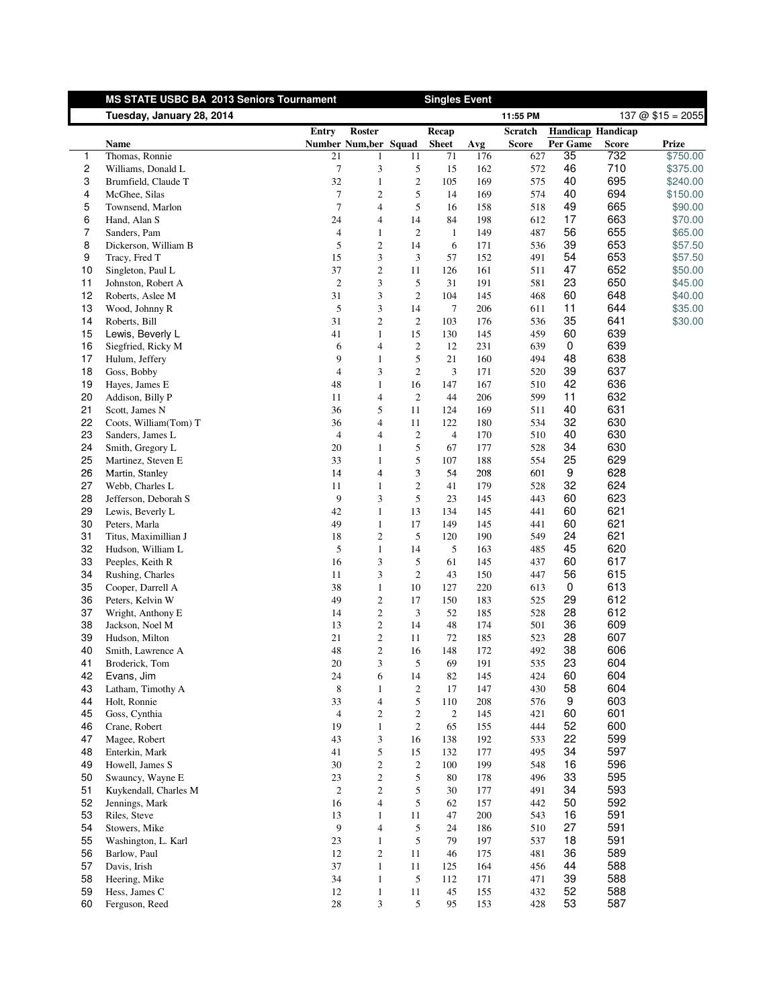<span id="page-11-0"></span>

|          | MS STATE USBC BA 2013 Seniors Tournament  |                      |                                          |                      | <b>Singles Event</b>  |            |                |                          |              |                      |
|----------|-------------------------------------------|----------------------|------------------------------------------|----------------------|-----------------------|------------|----------------|--------------------------|--------------|----------------------|
|          | Tuesday, January 28, 2014                 |                      |                                          |                      |                       |            | 11:55 PM       |                          |              | $137 @ $15 = 2055$   |
|          |                                           | <b>Entry</b>         | <b>Roster</b>                            |                      | Recap                 |            | <b>Scratch</b> | <b>Handicap Handicap</b> |              |                      |
|          | Name                                      |                      | Number Num, ber Squad                    |                      | <b>Sheet</b>          | Avg        | <b>Score</b>   | Per Game                 | <b>Score</b> | Prize                |
| 1<br>2   | Thomas, Ronnie<br>Williams, Donald L      | 21<br>7              | $\mathbf{1}$<br>3                        | 11<br>5              | 71<br>15              | 176<br>162 | 627<br>572     | 35<br>46                 | 732<br>710   | \$750.00<br>\$375.00 |
| 3        | Brumfield, Claude T                       | 32                   | $\mathbf{1}$                             | $\overline{c}$       | 105                   | 169        | 575            | 40                       | 695          | \$240.00             |
| 4        | McGhee, Silas                             | $\tau$               | $\boldsymbol{2}$                         | 5                    | 14                    | 169        | 574            | 40                       | 694          | \$150.00             |
| 5        | Townsend, Marlon                          | $\tau$               | $\overline{4}$                           | 5                    | 16                    | 158        | 518            | 49                       | 665          | \$90.00              |
| 6        | Hand, Alan S                              | 24                   | $\overline{4}$                           | 14                   | 84                    | 198        | 612            | 17                       | 663          | \$70.00              |
| 7        | Sanders, Pam                              | $\overline{4}$       | $\mathbf{1}$                             | $\boldsymbol{2}$     | $\mathbf{1}$          | 149        | 487            | 56                       | 655          | \$65.00              |
| 8        | Dickerson, William B                      | 5                    | $\boldsymbol{2}$                         | 14                   | 6                     | 171        | 536            | 39                       | 653          | \$57.50              |
| 9        | Tracy, Fred T                             | 15                   | 3                                        | 3                    | 57                    | 152        | 491            | 54                       | 653          | \$57.50              |
| 10       | Singleton, Paul L                         | 37                   | $\boldsymbol{2}$                         | 11                   | 126                   | 161        | 511            | 47                       | 652          | \$50.00              |
| 11       | Johnston, Robert A                        | $\overline{2}$       | 3                                        | 5                    | 31                    | 191        | 581            | 23                       | 650          | \$45.00              |
| 12       | Roberts, Aslee M                          | 31                   | 3                                        | $\overline{c}$       | 104                   | 145        | 468            | 60                       | 648          | \$40.00              |
| 13       | Wood, Johnny R                            | 5                    | 3                                        | 14                   | 7                     | 206        | 611            | 11                       | 644          | \$35.00              |
| 14       | Roberts, Bill                             | 31                   | 2                                        | $\overline{c}$       | 103                   | 176        | 536            | 35                       | 641          | \$30.00              |
| 15       | Lewis, Beverly L                          | 41                   | $\mathbf{1}$                             | 15                   | 130                   | 145        | 459            | 60                       | 639          |                      |
| 16       | Siegfried, Ricky M                        | 6                    | 4                                        | $\overline{c}$       | 12                    | 231        | 639            | 0                        | 639          |                      |
| 17       | Hulum, Jeffery                            | 9                    | $\mathbf{1}$                             | 5                    | 21                    | 160        | 494            | 48                       | 638          |                      |
| 18       | Goss, Bobby                               | $\overline{4}$       | 3                                        | $\boldsymbol{2}$     | $\mathfrak{Z}$        | 171        | 520            | 39                       | 637          |                      |
| 19       | Hayes, James E                            | 48                   | $\mathbf{1}$                             | 16                   | 147                   | 167        | 510            | 42                       | 636          |                      |
| 20       | Addison, Billy P                          | 11                   | $\overline{\mathcal{L}}$                 | $\overline{c}$       | 44                    | 206        | 599            | 11                       | 632          |                      |
| 21       | Scott, James N                            | 36                   | 5                                        | 11                   | 124                   | 169        | 511            | 40                       | 631<br>630   |                      |
| 22<br>23 | Coots, William(Tom) T<br>Sanders, James L | 36<br>$\overline{4}$ | 4<br>4                                   | 11<br>$\overline{c}$ | 122<br>$\overline{4}$ | 180<br>170 | 534<br>510     | 32<br>40                 | 630          |                      |
| 24       | Smith, Gregory L                          | 20                   | $\mathbf{1}$                             | 5                    | 67                    | 177        | 528            | 34                       | 630          |                      |
| 25       | Martinez, Steven E                        | 33                   | $\mathbf{1}$                             | 5                    | 107                   | 188        | 554            | 25                       | 629          |                      |
| 26       | Martin, Stanley                           | 14                   | $\overline{4}$                           | 3                    | 54                    | 208        | 601            | $\boldsymbol{9}$         | 628          |                      |
| 27       | Webb, Charles L                           | 11                   | $\mathbf{1}$                             | $\overline{c}$       | 41                    | 179        | 528            | 32                       | 624          |                      |
| 28       | Jefferson, Deborah S                      | 9                    | 3                                        | 5                    | 23                    | 145        | 443            | 60                       | 623          |                      |
| 29       | Lewis, Beverly L                          | 42                   | $\mathbf{1}$                             | 13                   | 134                   | 145        | 441            | 60                       | 621          |                      |
| 30       | Peters, Marla                             | 49                   | $\mathbf{1}$                             | 17                   | 149                   | 145        | 441            | 60                       | 621          |                      |
| 31       | Titus, Maximillian J                      | 18                   | $\boldsymbol{2}$                         | 5                    | 120                   | 190        | 549            | 24                       | 621          |                      |
| 32       | Hudson, William L                         | 5                    | $\mathbf{1}$                             | 14                   | 5                     | 163        | 485            | 45                       | 620          |                      |
| 33       | Peeples, Keith R                          | 16                   | 3                                        | 5                    | 61                    | 145        | 437            | 60                       | 617          |                      |
| 34       | Rushing, Charles                          | 11                   | 3                                        | $\overline{c}$       | 43                    | 150        | 447            | 56                       | 615          |                      |
| 35       | Cooper, Darrell A                         | 38                   | $\mathbf{1}$                             | 10                   | 127                   | 220        | 613            | 0                        | 613          |                      |
| 36       | Peters, Kelvin W                          | 49                   | $\boldsymbol{2}$                         | 17                   | 150                   | 183        | 525            | 29                       | 612          |                      |
| 37       | Wright, Anthony E                         | 14                   | $\overline{c}$                           | 3                    | 52                    | 185        | 528            | 28                       | 612          |                      |
| 38       | Jackson, Noel M                           | 13                   | $\mathbf{2}$                             | 14                   | 48                    | 174        | 501            | 36                       | 609          |                      |
| 39       | Hudson, Milton                            | 21                   | $\overline{c}$                           | 11                   | 72                    | 185        | 523            | 28                       | 607          |                      |
| 40       | Smith, Lawrence A                         | 48                   | $\overline{c}$                           | 16                   | 148                   | 172        | 492            | 38                       | 606          |                      |
| 41       | Broderick, Tom                            | $20\,$               | 3                                        | 5                    | 69                    | 191        | 535            | 23                       | 604<br>604   |                      |
| 42<br>43 | Evans, Jim<br>Latham, Timothy A           | 24<br>$\,8\,$        | 6                                        | 14                   | 82                    | 145<br>147 | 424<br>430     | 60<br>58                 | 604          |                      |
| 44       | Holt, Ronnie                              | 33                   | $\mathbf{1}$<br>$\overline{\mathcal{L}}$ | $\overline{c}$<br>5  | 17<br>110             | 208        | 576            | 9                        | 603          |                      |
| 45       | Goss, Cynthia                             | $\overline{4}$       | $\overline{c}$                           | $\overline{c}$       | $\overline{c}$        | 145        | 421            | 60                       | 601          |                      |
| 46       | Crane, Robert                             | 19                   | $\mathbf{1}$                             | $\overline{c}$       | 65                    | 155        | 444            | 52                       | 600          |                      |
| 47       | Magee, Robert                             | 43                   | 3                                        | 16                   | 138                   | 192        | 533            | 22                       | 599          |                      |
| 48       | Enterkin, Mark                            | 41                   | 5                                        | 15                   | 132                   | 177        | 495            | 34                       | 597          |                      |
| 49       | Howell, James S                           | 30                   | $\boldsymbol{2}$                         | $\overline{c}$       | 100                   | 199        | 548            | 16                       | 596          |                      |
| 50       | Swauncy, Wayne E                          | 23                   | $\overline{c}$                           | 5                    | 80                    | 178        | 496            | 33                       | 595          |                      |
| 51       | Kuykendall, Charles M                     | $\mathbf{2}$         | $\boldsymbol{2}$                         | 5                    | 30                    | 177        | 491            | 34                       | 593          |                      |
| 52       | Jennings, Mark                            | 16                   | $\overline{\mathcal{L}}$                 | 5                    | 62                    | 157        | 442            | 50                       | 592          |                      |
| 53       | Riles, Steve                              | 13                   | $\mathbf{1}$                             | 11                   | 47                    | 200        | 543            | 16                       | 591          |                      |
| 54       | Stowers, Mike                             | 9                    | $\overline{4}$                           | 5                    | 24                    | 186        | 510            | 27                       | 591          |                      |
| 55       | Washington, L. Karl                       | 23                   | $\mathbf{1}$                             | 5                    | 79                    | 197        | 537            | 18                       | 591          |                      |
| 56       | Barlow, Paul                              | 12                   | $\mathbf{2}$                             | 11                   | 46                    | 175        | 481            | 36                       | 589          |                      |
| 57       | Davis, Irish                              | 37                   | $\mathbf{1}$                             | 11                   | 125                   | 164        | 456            | 44                       | 588          |                      |
| 58       | Heering, Mike                             | 34                   | $\mathbf{1}$                             | 5                    | 112                   | 171        | 471            | 39                       | 588          |                      |
| 59       | Hess, James C                             | 12                   | $\mathbf{1}$                             | 11                   | 45                    | 155        | 432            | 52                       | 588          |                      |
| 60       | Ferguson, Reed                            | 28                   | 3                                        | 5                    | 95                    | 153        | 428            | 53                       | 587          |                      |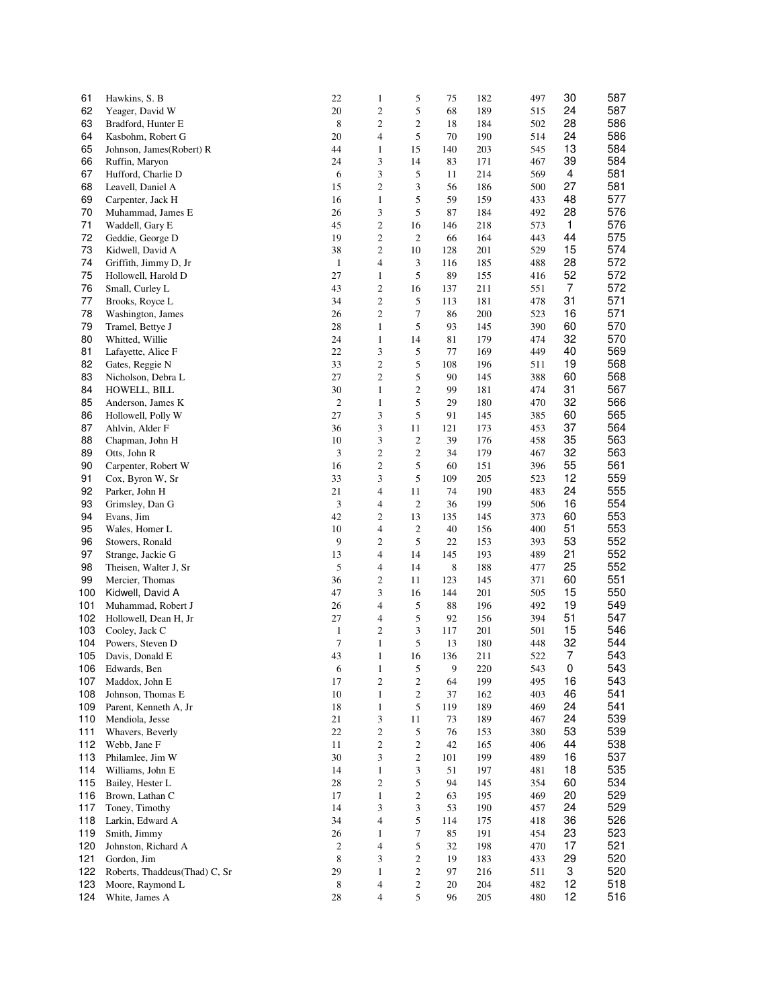| 61  | Hawkins, S. B                 | 22               | $\mathbf{1}$     | 5                | 75  | 182 | 497 | 30       | 587 |
|-----|-------------------------------|------------------|------------------|------------------|-----|-----|-----|----------|-----|
| 62  | Yeager, David W               | 20               | $\mathbf{c}$     | 5                | 68  | 189 | 515 | 24       | 587 |
| 63  | Bradford, Hunter E            | 8                | $\overline{c}$   | 2                | 18  | 184 | 502 | 28       | 586 |
| 64  | Kasbohm, Robert G             | 20               | $\overline{4}$   | 5                | 70  | 190 | 514 | 24       | 586 |
| 65  | Johnson, James (Robert) R     | 44               | $\mathbf{1}$     | 15               | 140 | 203 | 545 | 13       | 584 |
| 66  | Ruffin, Maryon                | 24               | 3                | 14               | 83  | 171 | 467 | 39       | 584 |
| 67  | Hufford, Charlie D            | $\sqrt{6}$       | 3                | 5                | 11  | 214 | 569 | 4        | 581 |
| 68  | Leavell, Daniel A             | 15               | $\overline{c}$   | 3                | 56  | 186 | 500 | 27       | 581 |
| 69  | Carpenter, Jack H             | 16               | $\mathbf{1}$     | 5                | 59  | 159 | 433 | 48       | 577 |
| 70  | Muhammad, James E             | 26               | 3                | 5                | 87  | 184 | 492 | 28       | 576 |
| 71  | Waddell, Gary E               | 45               | $\overline{c}$   | 16               | 146 | 218 | 573 | 1        | 576 |
| 72  | Geddie, George D              | 19               | $\sqrt{2}$       | $\overline{c}$   | 66  | 164 | 443 | 44       | 575 |
| 73  | Kidwell, David A              | 38               | $\boldsymbol{2}$ | 10               | 128 | 201 | 529 | 15       | 574 |
| 74  | Griffith, Jimmy D, Jr         | $\mathbf{1}$     | $\overline{4}$   | 3                | 116 | 185 | 488 | 28       | 572 |
| 75  | Hollowell, Harold D           | 27               | $\mathbf{1}$     | 5                | 89  | 155 | 416 | 52       | 572 |
| 76  | Small, Curley L               | 43               | $\overline{c}$   | 16               | 137 | 211 | 551 | 7        | 572 |
| 77  | Brooks, Royce L               | 34               | $\overline{c}$   | 5                | 113 | 181 | 478 | 31       | 571 |
| 78  | Washington, James             | 26               | $\overline{c}$   | 7                | 86  | 200 | 523 | 16       | 571 |
| 79  | Tramel, Bettye J              | 28               | $\mathbf{1}$     | 5                | 93  | 145 | 390 | 60       | 570 |
| 80  | Whitted, Willie               | 24               | $\mathbf{1}$     | 14               | 81  | 179 | 474 | 32       | 570 |
| 81  | Lafayette, Alice F            | 22               | 3                | 5                | 77  | 169 | 449 | 40       | 569 |
| 82  | Gates, Reggie N               | 33               | $\overline{c}$   | 5                | 108 | 196 | 511 | 19       | 568 |
| 83  | Nicholson, Debra L            | 27               | $\overline{c}$   | 5                | 90  | 145 | 388 | 60       | 568 |
| 84  | HOWELL, BILL                  | 30               | $\mathbf{1}$     | $\mathbf{2}$     | 99  | 181 | 474 | 31       | 567 |
| 85  | Anderson, James K             | $\boldsymbol{2}$ | $\mathbf{1}$     | 5                | 29  | 180 | 470 | 32       | 566 |
| 86  | Hollowell, Polly W            | 27               | 3                | 5                | 91  | 145 | 385 | 60       | 565 |
| 87  | Ahlvin, Alder F               | 36               | 3                | 11               | 121 | 173 | 453 | 37       | 564 |
| 88  |                               | 10               | 3                | $\boldsymbol{2}$ | 39  | 176 | 458 | 35       | 563 |
| 89  | Chapman, John H               | $\mathfrak z$    | $\overline{c}$   | 2                | 34  | 179 | 467 | 32       | 563 |
|     | Otts, John R                  |                  |                  |                  |     |     |     |          |     |
| 90  | Carpenter, Robert W           | 16               | $\overline{c}$   | 5                | 60  | 151 | 396 | 55       | 561 |
| 91  | Cox, Byron W, Sr              | 33               | 3                | 5                | 109 | 205 | 523 | 12<br>24 | 559 |
| 92  | Parker, John H                | 21               | $\overline{4}$   | 11               | 74  | 190 | 483 |          | 555 |
| 93  | Grimsley, Dan G               | 3                | $\overline{4}$   | $\boldsymbol{2}$ | 36  | 199 | 506 | 16       | 554 |
| 94  | Evans, Jim                    | 42               | $\overline{c}$   | 13               | 135 | 145 | 373 | 60       | 553 |
| 95  | Wales, Homer L                | 10               | $\overline{4}$   | 2                | 40  | 156 | 400 | 51       | 553 |
| 96  | Stowers, Ronald               | 9                | $\overline{c}$   | 5                | 22  | 153 | 393 | 53       | 552 |
| 97  | Strange, Jackie G             | 13               | $\overline{4}$   | 14               | 145 | 193 | 489 | 21       | 552 |
| 98  | Theisen, Walter J, Sr         | 5                | $\overline{4}$   | 14               | 8   | 188 | 477 | 25       | 552 |
| 99  | Mercier, Thomas               | 36               | $\sqrt{2}$       | 11               | 123 | 145 | 371 | 60       | 551 |
| 100 | Kidwell, David A              | 47               | 3                | 16               | 144 | 201 | 505 | 15       | 550 |
| 101 | Muhammad, Robert J            | 26               | $\overline{4}$   | 5                | 88  | 196 | 492 | 19       | 549 |
| 102 | Hollowell, Dean H, Jr         | 27               | $\overline{4}$   | 5                | 92  | 156 | 394 | 51       | 547 |
| 103 | Cooley, Jack C                | $\mathbf{1}$     | $\overline{c}$   | 3                | 117 | 201 | 501 | 15       | 546 |
| 104 | Powers, Steven D              | 7                | $\mathbf{1}$     | 5                | 13  | 180 | 448 | 32       | 544 |
| 105 | Davis, Donald E               | 43               | $\mathbf{1}$     | 16               | 136 | 211 | 522 | 7        | 543 |
| 106 | Edwards, Ben                  | 6                | $\mathbf{1}$     | 5                | 9   | 220 | 543 | 0        | 543 |
| 107 | Maddox, John E                | 17               | $\overline{c}$   | $\overline{c}$   | 64  | 199 | 495 | 16       | 543 |
| 108 | Johnson, Thomas E             | 10               | $\mathbf{1}$     | $\overline{c}$   | 37  | 162 | 403 | 46       | 541 |
| 109 | Parent, Kenneth A, Jr         | 18               | $\mathbf{1}$     | 5                | 119 | 189 | 469 | 24       | 541 |
| 110 | Mendiola, Jesse               | 21               | $\mathfrak{Z}$   | 11               | 73  | 189 | 467 | 24       | 539 |
| 111 | Whavers, Beverly              | 22               | $\sqrt{2}$       | 5                | 76  | 153 | 380 | 53       | 539 |
| 112 | Webb, Jane F                  | 11               | $\sqrt{2}$       | $\boldsymbol{2}$ | 42  | 165 | 406 | 44       | 538 |
| 113 | Philamlee, Jim W              | 30               | $\mathfrak{Z}$   | $\overline{c}$   | 101 | 199 | 489 | 16       | 537 |
| 114 | Williams, John E              | 14               | $\mathbf{1}$     | 3                | 51  | 197 | 481 | 18       | 535 |
| 115 | Bailey, Hester L              | 28               | $\mathbf{2}$     | 5                | 94  | 145 | 354 | 60       | 534 |
| 116 | Brown, Lathan C               | 17               | $\mathbf{1}$     | $\overline{c}$   | 63  | 195 | 469 | 20       | 529 |
| 117 | Toney, Timothy                | 14               | 3                | 3                | 53  | 190 | 457 | 24       | 529 |
| 118 | Larkin, Edward A              | 34               | $\overline{4}$   | 5                | 114 | 175 | 418 | 36       | 526 |
| 119 | Smith, Jimmy                  | 26               | $\mathbf{1}$     | 7                | 85  | 191 | 454 | 23       | 523 |
| 120 | Johnston, Richard A           | $\boldsymbol{2}$ | $\overline{4}$   | 5                | 32  | 198 | 470 | 17       | 521 |
| 121 | Gordon, Jim                   | $\,8\,$          | 3                | 2                | 19  | 183 | 433 | 29       | 520 |
| 122 | Roberts, Thaddeus(Thad) C, Sr | 29               | $\mathbf{1}$     | $\overline{c}$   | 97  | 216 | 511 | 3        | 520 |
| 123 | Moore, Raymond L              | 8                | $\overline{4}$   | $\sqrt{2}$       | 20  | 204 | 482 | 12       | 518 |
| 124 | White, James A                | 28               | $\overline{4}$   | 5                | 96  | 205 | 480 | 12       | 516 |
|     |                               |                  |                  |                  |     |     |     |          |     |